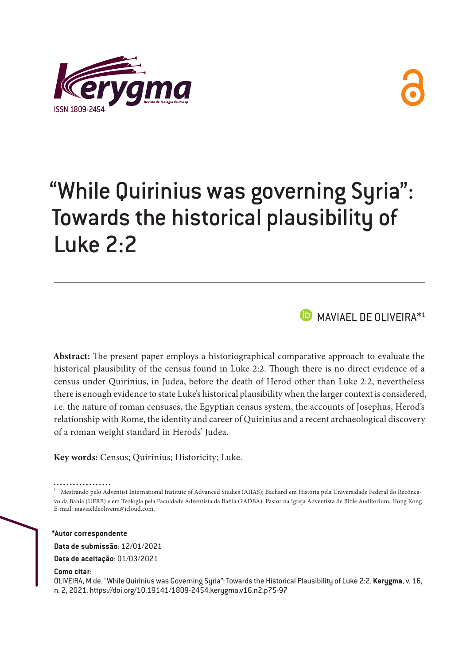



# "While Quirinius was governing Syria": Towards the historical plausibility of Luke 2:2

**D** MAVIAEL DE OLIVEIRA<sup>\*1</sup>

**Abstract:** The present paper employs a historiographical comparative approach to evaluate the historical plausibility of the census found in Luke 2:2. Though there is no direct evidence of a census under Quirinius, in Judea, before the death of Herod other than Luke 2:2, nevertheless there is enough evidence to state Luke's historical plausibility when the larger context is considered, i.e. the nature of roman censuses, the Egyptian census system, the accounts of Josephus, Herod's relationship with Rome, the identity and career of Quirinius and a recent archaeological discovery of a roman weight standard in Herods' Judea.

**Key words:** Census; Quirinius; Historicity; Luke.

. . . . . . . . . . . . . . .

1 Mestrando pelo Adventist International Institute of Advanced Studies (AIIAS); Bacharel em História pela Universidade Federal do Recôncavo da Bahia (UFRB) e em Teologia pela Faculdade Adventista da Bahia (FADBA). Pastor na Igreja Adventista de Bible Auditorium, Hong Kong. E-mail: [maviaeldeoliveira@icloud.com](mailto:maviaeldeoliveira@icloud.com).

**\*Autor correspondente**

**Data de submissão**: 12/01/2021

**Data de aceitação**: 01/03/2021

**Como citar**:

OLIVEIRA, M de. "While Quirinius was Governing Syria": Towards the Historical Plausibility of Luke 2:2. **Kerygma**, v. 16, n. 2, 2021. https://doi.org/10.19141/1809-2454.kerygma.v16.n2.p75-97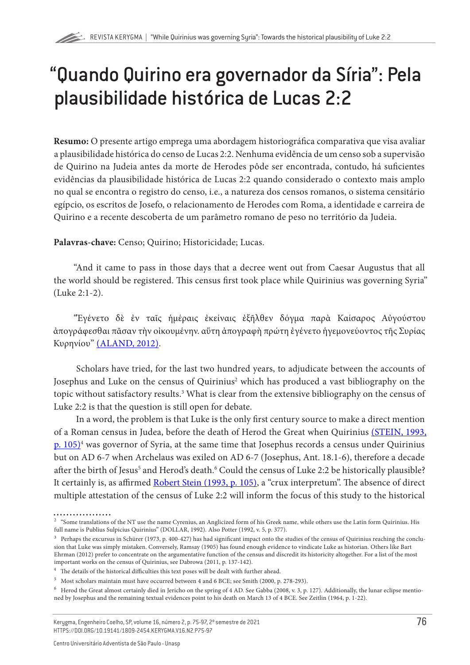# "Quando Quirino era governador da Síria": Pela plausibilidade histórica de Lucas 2:2

**Resumo:** O presente artigo emprega uma abordagem historiográfica comparativa que visa avaliar a plausibilidade histórica do censo de Lucas 2:2. Nenhuma evidência de um censo sob a supervisão de Quirino na Judeia antes da morte de Herodes pôde ser encontrada, contudo, há suficientes evidências da plausibilidade histórica de Lucas 2:2 quando considerado o contexto mais amplo no qual se encontra o registro do censo, i.e., a natureza dos censos romanos, o sistema censitário egípcio, os escritos de Josefo, o relacionamento de Herodes com Roma, a identidade e carreira de Quirino e a recente descoberta de um parâmetro romano de peso no território da Judeia.

**Palavras-chave:** Censo; Quirino; Historicidade; Lucas.

"And it came to pass in those days that a decree went out from Caesar Augustus that all the world should be registered. This census first took place while Quirinius was governing Syria" (Luke 2:1-2).

"Ἐγένετο δὲ ἐν ταῖς ἡμέραις ἐκείναις ἐξῆλθεν δόγμα παρὰ Καίσαρος Αὐγούστου ἀπογράφεσθαι πᾶσαν τὴν οἰκουμένην. αὕτη ἀπογραφὴ πρώτη ἐγένετο ἡγεμονεύοντος τῆς Συρίας Κυρηνίου" [\(ALAND, 2012\)](#page-17-0).

Scholars have tried, for the last two hundred years, to adjudicate between the accounts of Josephus and Luke on the census of Quirinius<sup>2</sup> which has produced a vast bibliography on the topic without satisfactory results.<sup>3</sup> What is clear from the extensive bibliography on the census of Luke 2:2 is that the question is still open for debate.

In a word, the problem is that Luke is the only first century source to make a direct mention of a Roman census in Judea, before the death of Herod the Great when Quirinius [\(STEIN, 1993,](#page-22-0) [p. 105\)](#page-22-0)4 was governor of Syria, at the same time that Josephus records a census under Quirinius but on AD 6-7 when Archelaus was exiled on AD 6-7 (Josephus, Ant. 18.1-6), therefore a decade after the birth of Jesus<sup>5</sup> and Herod's death.<sup>6</sup> Could the census of Luke 2:2 be historically plausible? It certainly is, as affirmed [Robert Stein \(1993, p. 105\)](#page-22-0), a "crux interpretum". The absence of direct multiple attestation of the census of Luke 2:2 will inform the focus of this study to the historical

<sup>2</sup> "Some translations of the NT use the name Cyrenius, an Anglicized form of his Greek name, while others use the Latin form Quirinius. His full name is Publius Sulpicius Quirinius" (DOLLAR, 1992). Also Potter (1992, v. 5, p. 377).

 $3$  Perhaps the excursus in Schürer (1973, p. 400-427) has had significant impact onto the studies of the census of Quirinius reaching the conclusion that Luke was simply mistaken. Conversely, Ramsay (1905) has found enough evidence to vindicate Luke as historian. Others like Bart Ehrman (2012) prefer to concentrate on the argumentative function of the census and discredit its historicity altogether. For a list of the most important works on the census of Quirinius, see Dabrowa (2011, p. 137-142).

<sup>&</sup>lt;sup>4</sup> The details of the historical difficulties this text poses will be dealt with further ahead.

<sup>&</sup>lt;sup>5</sup> Most scholars maintain must have occurred between 4 and 6 BCE; see Smith (2000, p. 278-293).

<sup>&</sup>lt;sup>6</sup> Herod the Great almost certainly died in Jericho on the spring of 4 AD. See Gabba (2008, v. 3, p. 127). Additionally, the lunar eclipse mentioned by Josephus and the remaining textual evidences point to his death on March 13 of 4 BCE. See Zeitlin (1964, p. 1-22).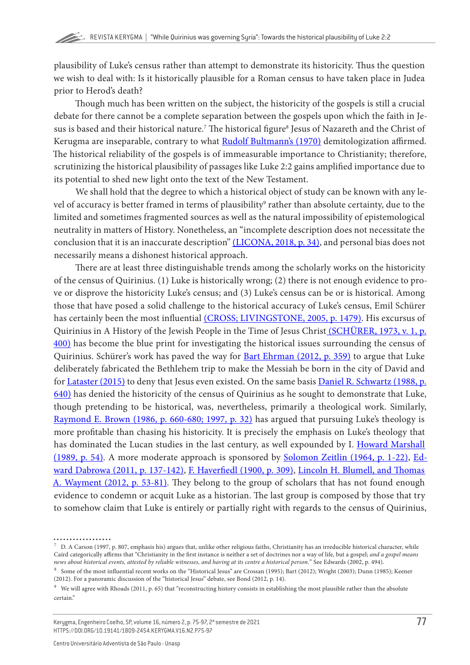plausibility of Luke's census rather than attempt to demonstrate its historicity. Thus the question we wish to deal with: Is it historically plausible for a Roman census to have taken place in Judea prior to Herod's death?

Though much has been written on the subject, the historicity of the gospels is still a crucial debate for there cannot be a complete separation between the gospels upon which the faith in Jesus is based and their historical nature. $^7$  The historical figure $^8$  Jesus of Nazareth and the Christ of Kerugma are inseparable, contrary to what **Rudolf Bultmann's (1970)** demitologization affirmed. The historical reliability of the gospels is of immeasurable importance to Christianity; therefore, scrutinizing the historical plausibility of passages like Luke 2:2 gains amplified importance due to its potential to shed new light onto the text of the New Testament.

We shall hold that the degree to which a historical object of study can be known with any level of accuracy is better framed in terms of plausibility<sup>9</sup> rather than absolute certainty, due to the limited and sometimes fragmented sources as well as the natural impossibility of epistemological neutrality in matters of History. Nonetheless, an "incomplete description does not necessitate the conclusion that it is an inaccurate description" [\(LICONA, 2018, p. 34\),](#page-20-0) and personal bias does not necessarily means a dishonest historical approach.

There are at least three distinguishable trends among the scholarly works on the historicity of the census of Quirinius. (1) Luke is historically wrong; (2) there is not enough evidence to prove or disprove the historicity Luke's census; and (3) Luke's census can be or is historical. Among those that have posed a solid challenge to the historical accuracy of Luke's census, Emil Schürer has certainly been the most influential [\(CROSS; LIVINGSTONE, 2005, p. 1479\).](#page-18-0) His excursus of Quirinius in A History of the Jewish People in the Time of Jesus Chris[t \(SCHÜRER, 1973, v. 1, p.](#page-22-0) [400\)](#page-22-0) has become the blue print for investigating the historical issues surrounding the census of Quirinius. Schürer's work has paved the way for [Bart Ehrman \(2012, p. 359\)](#page-19-0) to argue that Luke deliberately fabricated the Bethlehem trip to make the Messiah be born in the city of David and for [Lataster \(2015\)](#page-20-0) to deny that Jesus even existed. On the same basis [Daniel R. Schwartz \(1988, p.](#page-22-0) [640\)](#page-22-0) has denied the historicity of the census of Quirinius as he sought to demonstrate that Luke, though pretending to be historical, was, nevertheless, primarily a theological work. Similarly, [Raymond E. Brown \(1986, p. 660-680; 1997, p. 32\)](#page-18-0) has argued that pursuing Luke's theology is more profitable than chasing his historicity. It is precisely the emphasis on Luke's theology that has dominated the Lucan studies in the last century, as well expounded by I. [Howard Marshall](#page-21-0)  [\(1989, p. 54\).](#page-21-0) A more moderate approach is sponsored by [Solomon Zeitlin \(1964, p. 1-22\)](#page-22-0), [Ed](#page-18-0)[ward Dabrowa \(2011, p. 137-142\),](#page-18-0) [F. Haverfiedl \(1900, p. 309\),](#page-20-0) [Lincoln H. Blumell, and Thomas](#page-17-0)  [A. Wayment \(2012, p. 53-81\).](#page-17-0) They belong to the group of scholars that has not found enough evidence to condemn or acquit Luke as a historian. The last group is composed by those that try to somehow claim that Luke is entirely or partially right with regards to the census of Quirinius,

 $^7$  D. A Carson (1997, p. 807, emphasis his) argues that, unlike other religious faiths, Christianity has an irreducible historical character, while Caird categorically affirms that "Christianity in the first instance is neither a set of doctrines nor a way of life, but a gospel; *and a gospel means news about historical events, attested by reliable witnesses, and having at its centre a historical person.*" See Edwards (2002, p. 494).

<sup>8</sup> Some of the most influential recent works on the "Historical Jesus" are Crossan (1995); Bart (2012); Wright (2003); Dunn (1985); Keener (2012). For a panoramic discussion of the "historical Jesus" debate, see Bond (2012, p. 14).

<sup>&</sup>lt;sup>9</sup> We will agree with Rhoads (2011, p. 65) that "reconstructing history consists in establishing the most plausible rather than the absolute certain."

Kerygma, Engenheiro Coelho, SP, volume 16, número 2, p. 75-97, 2º semestre de 2021 HTTPS://DOI.ORG/10.19141/1809-2454.KERYGMA.V16.N2.P75-97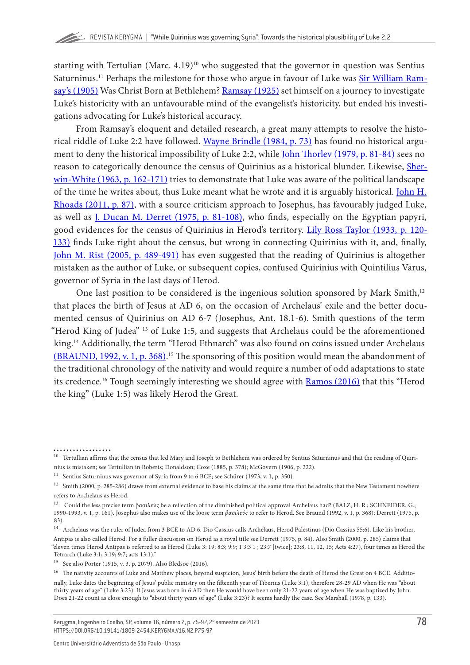starting with Tertulian (Marc.  $4.19$ )<sup>10</sup> who suggested that the governor in question was Sentius Saturninus.<sup>11</sup> Perhaps the milestone for those who argue in favour of Luke was [Sir William Ram](#page-21-0)[say's \(1905\)](#page-21-0) Was Christ Born at Bethlehem? [Ramsay \(1925\)](#page-21-0) set himself on a journey to investigate Luke's historicity with an unfavourable mind of the evangelist's historicity, but ended his investigations advocating for Luke's historical accuracy.

From Ramsay's eloquent and detailed research, a great many attempts to resolve the histo-rical riddle of Luke 2:2 have followed. [Wayne Brindle \(1984, p. 73\)](#page-18-0) has found no historical argument to deny the historical impossibility of Luke 2:2, while [John Thorlev \(1979, p. 81-84\)](#page-22-0) sees no reason to categorically denounce the census of Quirinius as a historical blunder. Likewise, [Sher](#page-22-0)[win-White \(1963, p. 162-171\)](#page-22-0) tries to demonstrate that Luke was aware of the political landscape of the time he writes about, thus Luke meant what he wrote and it is arguably historical. [John H.](#page-21-0) [Rhoads \(2011, p. 87\),](#page-21-0) with a source criticism approach to Josephus, has favourably judged Luke, as well as [J. Ducan M. Derret \(1975, p. 81-108\)](#page-19-0), who finds, especially on the Egyptian papyri, good evidences for the census of Quirinius in Herod's territory. [Lily Ross Taylor \(1933, p. 120-](#page-22-0) [133\)](#page-22-0) finds Luke right about the census, but wrong in connecting Quirinius with it, and, finally, [John M. Rist \(2005, p. 489-491\)](#page-21-0) has even suggested that the reading of Quirinius is altogether mistaken as the author of Luke, or subsequent copies, confused Quirinius with Quintilius Varus, governor of Syria in the last days of Herod.

One last position to be considered is the ingenious solution sponsored by Mark Smith,<sup>12</sup> that places the birth of Jesus at AD 6, on the occasion of Archelaus' exile and the better documented census of Quirinius on AD 6-7 (Josephus, Ant. 18.1-6). Smith questions of the term "Herod King of Judea" 13 of Luke 1:5, and suggests that Archelaus could be the aforementioned king.<sup>14</sup> Additionally, the term "Herod Ethnarch" was also found on coins issued under Archelaus [\(BRAUND, 1992, v. 1, p. 368\)](#page-18-0). 15 The sponsoring of this position would mean the abandonment of the traditional chronology of the nativity and would require a number of odd adaptations to state its credence.<sup>16</sup> Tough seemingly interesting we should agree with **Ramos (2016)** that this "Herod the king" (Luke 1:5) was likely Herod the Great.

<sup>&</sup>lt;sup>10</sup> Tertullian affirms that the census that led Mary and Joseph to Bethlehem was ordered by Sentius Saturninus and that the reading of Quirinius is mistaken; see Tertullian in Roberts; Donaldson; Coxe (1885, p. 378); McGovern (1906, p. 222).

<sup>&</sup>lt;sup>11</sup> Sentius Saturninus was governor of Syria from 9 to 6 BCE; see Schürer (1973, v. 1, p. 350).

<sup>&</sup>lt;sup>12</sup> Smith (2000, p. 285-286) draws from external evidence to base his claims at the same time that he admits that the New Testament nowhere refers to Archelaus as Herod.

<sup>13</sup> Could the less precise term βασιλεύς be a reflection of the diminished political approval Archelaus had? (BALZ, H. R.; SCHNEIDER, G., 1990-1993, v. 1, p. 161). Josephus also makes use of the loose term *βασιλεύς* to refer to Herod. See Braund (1992, v. 1, p. 368); Derrett (1975, p. 83).

<sup>&</sup>lt;sup>14</sup> Archelaus was the ruler of Judea from 3 BCE to AD 6. Dio Cassius calls Archelaus, Herod Palestinus (Dio Cassius 55:6). Like his brother, Antipas is also called Herod. For a fuller discussion on Herod as a royal title see Derrett (1975, p. 84). Also Smith (2000, p. 285) claims that "eleven times Herod Antipas is referred to as Herod (Luke 3: 19; 8:3; 9:9; 1 3:3 1 ; 23:7 [twice]; 23:8, 11, 12, 15; Acts 4:27), four times as Herod the Tetrarch (Luke 3:1; 3:19; 9:7; acts 13:1)."

<sup>15</sup> See also Porter (1915, v. 3, p. 2079). Also Bledsoe (2016).

<sup>&</sup>lt;sup>16</sup> The nativity accounts of Luke and Matthew places, beyond suspicion, Jesus' birth before the death of Herod the Great on 4 BCE. Additionally, Luke dates the beginning of Jesus' public ministry on the fifteenth year of Tiberius (Luke 3:1), therefore 28-29 AD when He was "about thirty years of age" (Luke 3:23). If Jesus was born in 6 AD then He would have been only 21-22 years of age when He was baptized by John. Does 21-22 count as close enough to "about thirty years of age" (Luke 3:23)? It seems hardly the case. See Marshall (1978, p. 133).

Kerygma, Engenheiro Coelho, SP, volume 16, número 2, p. 75-97, 2º semestre de 2021 HTTPS://DOI.ORG/10.19141/1809-2454.KERYGMA.V16.N2.P75-97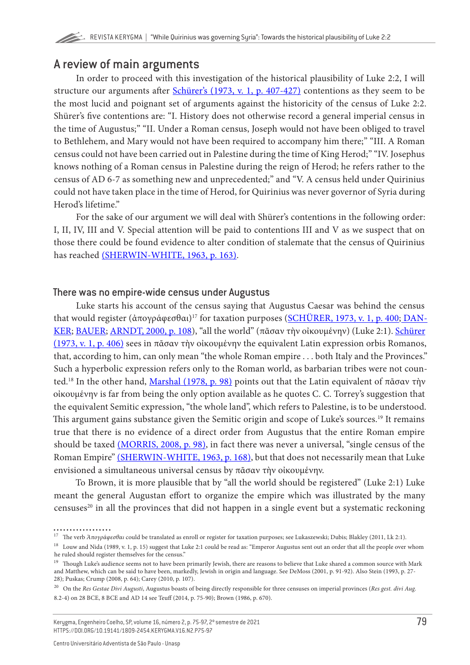# A review of main arguments

In order to proceed with this investigation of the historical plausibility of Luke 2:2, I will structure our arguments after *Schürer's* (1973, v. 1, p. 407-427) contentions as they seem to be the most lucid and poignant set of arguments against the historicity of the census of Luke 2:2. Shürer's five contentions are: "I. History does not otherwise record a general imperial census in the time of Augustus;" "II. Under a Roman census, Joseph would not have been obliged to travel to Bethlehem, and Mary would not have been required to accompany him there;" "III. A Roman census could not have been carried out in Palestine during the time of King Herod;" "IV. Josephus knows nothing of a Roman census in Palestine during the reign of Herod; he refers rather to the census of AD 6-7 as something new and unprecedented;" and "V. A census held under Quirinius could not have taken place in the time of Herod, for Quirinius was never governor of Syria during Herod's lifetime."

For the sake of our argument we will deal with Shürer's contentions in the following order: I, II, IV, III and V. Special attention will be paid to contentions III and V as we suspect that on those there could be found evidence to alter condition of stalemate that the census of Quirinius has reached [\(SHERWIN-WHITE, 1963, p. 163\).](#page-22-0)

#### There was no empire-wide census under Augustus

Luke starts his account of the census saying that Augustus Caesar was behind the census that would register (ἀπογράφεσθαι)<sup>17</sup> for taxation purposes ([SCHÜRER, 1973, v. 1, p. 400;](#page-22-0) [DAN-](#page-18-0)[KER; BAUER](#page-18-0); [ARNDT, 2000, p. 108\)](#page-18-0), "all the world" (πᾶσαν τὴν οἰκουμένην) (Luke 2:1). Schürer [\(1973, v. 1, p. 406\)](#page-22-0) sees in πᾶσαν τὴν οἰκουμένην the equivalent Latin expression orbis Romanos, that, according to him, can only mean "the whole Roman empire . . . both Italy and the Provinces." Such a hyperbolic expression refers only to the Roman world, as barbarian tribes were not coun-ted.<sup>18</sup> In the other hand, [Marshal \(1978, p. 98\)](#page-21-0) points out that the Latin equivalent of πᾶσαν τὴν οἰκουμένην is far from being the only option available as he quotes C. C. Torrey's suggestion that the equivalent Semitic expression, "the whole land", which refers to Palestine, is to be understood. This argument gains substance given the Semitic origin and scope of Luke's sources.<sup>19</sup> It remains true that there is no evidence of a direct order from Augustus that the entire Roman empire should be taxed [\(MORRIS, 2008, p. 98\),](#page-21-0) in fact there was never a universal, "single census of the Roman Empire" [\(SHERWIN-WHITE, 1963, p. 168\),](#page-22-0) but that does not necessarily mean that Luke envisioned a simultaneous universal census by πᾶσαν τὴν οἰκουμένην.

To Brown, it is more plausible that by "all the world should be registered" (Luke 2:1) Luke meant the general Augustan effort to organize the empire which was illustrated by the many censuses<sup>20</sup> in all the provinces that did not happen in a single event but a systematic reckoning

Kerygma, Engenheiro Coelho, SP, volume 16, número 2, p. 75-97, 2º semestre de 2021 HTTPS://DOI.ORG/10.19141/1809-2454.KERYGMA.V16.N2.P75-97

<sup>17</sup> The verb *Άπογράφεσθαι* could be translated as enroll or register for taxation purposes; see Lukaszewski; Dubis; Blakley (2011, Lk 2:1).

<sup>&</sup>lt;sup>18</sup> Louw and Nida (1989, v. 1, p. 15) suggest that Luke 2:1 could be read as: "Emperor Augustus sent out an order that all the people over whom he ruled should register themselves for the census."

<sup>19</sup> Though Luke's audience seems not to have been primarily Jewish, there are reasons to believe that Luke shared a common source with Mark and Matthew, which can be said to have been, markedly, Jewish in origin and language. See DeMoss (2001, p. 91-92). Also Stein (1993, p. 27- 28); Puskas; Crump (2008, p. 64); Carey (2010, p. 107).

<sup>20</sup> On the *Res Gestae Divi Augusti*, Augustus boasts of being directly responsible for three censuses on imperial provinces (*Res gest. divi Aug.* 8.2-4) on 28 BCE, 8 BCE and AD 14 see Teuff (2014, p. 75-90); Brown (1986, p. 670).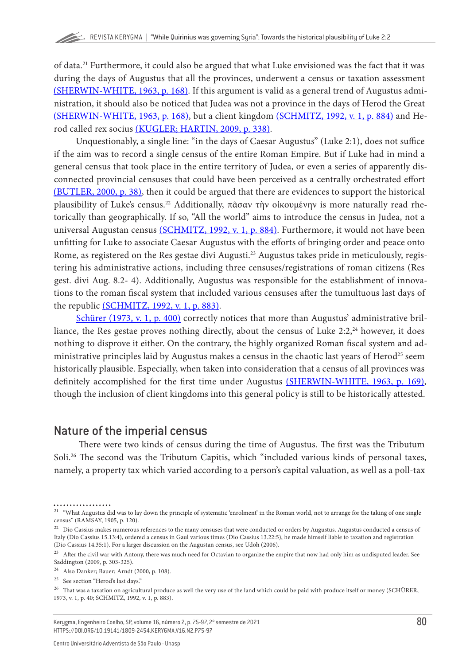of data.21 Furthermore, it could also be argued that what Luke envisioned was the fact that it was during the days of Augustus that all the provinces, underwent a census or taxation assessment [\(SHERWIN-WHITE, 1963, p. 168\)](#page-22-0). If this argument is valid as a general trend of Augustus administration, it should also be noticed that Judea was not a province in the days of Herod the Great [\(SHERWIN-WHITE, 1963, p. 168\)](#page-22-0), but a client kingdom [\(SCHMITZ, 1992, v. 1, p. 884\)](#page-22-0) and Herod called rex socius [\(KUGLER; HARTIN, 2009, p. 338\)](#page-20-0).

Unquestionably, a single line: "in the days of Caesar Augustus" (Luke 2:1), does not suffice if the aim was to record a single census of the entire Roman Empire. But if Luke had in mind a general census that took place in the entire territory of Judea, or even a series of apparently disconnected provincial censuses that could have been perceived as a centrally orchestrated effort [\(BUTLER, 2000, p. 38\)](#page-18-0), then it could be argued that there are evidences to support the historical plausibility of Luke's census.22 Additionally, πᾶσαν τὴν οἰκουμένην is more naturally read rhetorically than geographically. If so, "All the world" aims to introduce the census in Judea, not a universal Augustan census [\(SCHMITZ, 1992, v. 1, p. 884\)](#page-22-0). Furthermore, it would not have been unfitting for Luke to associate Caesar Augustus with the efforts of bringing order and peace onto Rome, as registered on the Res gestae divi Augusti.<sup>23</sup> Augustus takes pride in meticulously, registering his administrative actions, including three censuses/registrations of roman citizens (Res gest. divi Aug. 8.2- 4). Additionally, Augustus was responsible for the establishment of innovations to the roman fiscal system that included various censuses after the tumultuous last days of the republic [\(SCHMITZ, 1992, v. 1, p. 883\).](#page-22-0)

[Schürer \(1973, v. 1, p. 400\)](#page-22-0) correctly notices that more than Augustus' administrative brilliance, the Res gestae proves nothing directly, about the census of Luke  $2:2$ ,<sup>24</sup> however, it does nothing to disprove it either. On the contrary, the highly organized Roman fiscal system and administrative principles laid by Augustus makes a census in the chaotic last years of Herod<sup>25</sup> seem historically plausible. Especially, when taken into consideration that a census of all provinces was definitely accomplished for the first time under Augustus [\(SHERWIN-WHITE, 1963, p. 169\),](#page-22-0) though the inclusion of client kingdoms into this general policy is still to be historically attested.

### Nature of the imperial census

 There were two kinds of census during the time of Augustus. The first was the Tributum Soli.<sup>26</sup> The second was the Tributum Capitis, which "included various kinds of personal taxes, namely, a property tax which varied according to a person's capital valuation, as well as a poll-tax

<sup>&</sup>lt;sup>21</sup> "What Augustus did was to lay down the principle of systematic 'enrolment' in the Roman world, not to arrange for the taking of one single census" (RAMSAY, 1905, p. 120).

<sup>&</sup>lt;sup>22</sup> Dio Cassius makes numerous references to the many censuses that were conducted or orders by Augustus. Augustus conducted a census of Italy (Dio Cassius 15.13:4), ordered a census in Gaul various times (Dio Cassius 13.22:5), he made himself liable to taxation and registration (Dio Cassius 14.35:1). For a larger discussion on the Augustan census, see Udoh (2006).

<sup>&</sup>lt;sup>23</sup> After the civil war with Antony, there was much need for Octavian to organize the empire that now had only him as undisputed leader. See Saddington (2009, p. 303-325).

<sup>24</sup> Also Danker; Bauer; Arndt (2000, p. 108).

<sup>&</sup>lt;sup>25</sup> See section "Herod's last days."

 $^{26}$  That was a taxation on agricultural produce as well the very use of the land which could be paid with produce itself or money (SCHÜRER, 1973, v. 1, p. 40; SCHMITZ, 1992, v. 1, p. 883).

Kerygma, Engenheiro Coelho, SP, volume 16, número 2, p. 75-97, 2º semestre de 2021 HTTPS://DOI.ORG/10.19141/1809-2454.KERYGMA.V16.N2.P75-97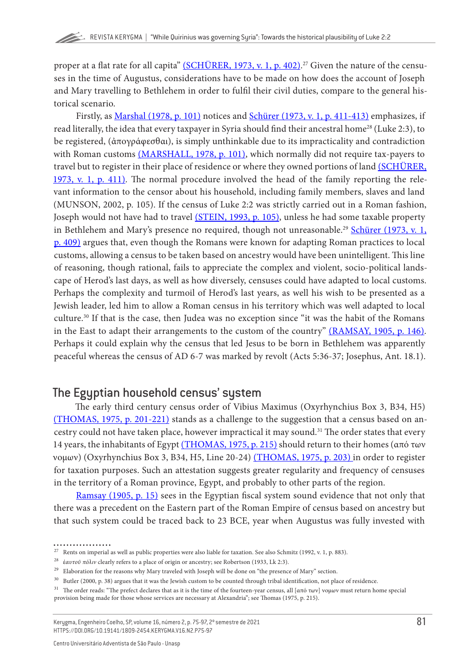proper at a flat rate for all capita" <u>(SCHÜRER, 1973, v. 1, p. 402)</u>.<sup>27</sup> Given the nature of the censuses in the time of Augustus, considerations have to be made on how does the account of Joseph and Mary travelling to Bethlehem in order to fulfil their civil duties, compare to the general historical scenario.

Firstly, as [Marshal \(1978, p. 101\)](#page-21-0) notices and [Schürer \(1973, v. 1, p. 411-413\)](#page-22-0) emphasizes, if read literally, the idea that every taxpayer in Syria should find their ancestral home<sup>28</sup> (Luke 2:3), to be registered, (ἀπογράφεσθαι), is simply unthinkable due to its impracticality and contradiction with Roman customs [\(MARSHALL, 1978, p. 101\),](#page-21-0) which normally did not require tax-payers to travel but to register in their place of residence or where they owned portions of land [\(SCHÜRER,](#page-22-0) [1973, v. 1, p. 411\).](#page-22-0) The normal procedure involved the head of the family reporting the relevant information to the censor about his household, including family members, slaves and land (MUNSON, 2002, p. 105). If the census of Luke 2:2 was strictly carried out in a Roman fashion, Joseph would not have had to travel [\(STEIN, 1993, p. 105\),](#page-22-0) unless he had some taxable property in Bethlehem and Mary's presence no required, though not unreasonable.<sup>29</sup> [Schürer \(1973, v. 1,](#page-22-0) [p. 409\)](#page-22-0) argues that, even though the Romans were known for adapting Roman practices to local customs, allowing a census to be taken based on ancestry would have been unintelligent. This line of reasoning, though rational, fails to appreciate the complex and violent, socio-political landscape of Herod's last days, as well as how diversely, censuses could have adapted to local customs. Perhaps the complexity and turmoil of Herod's last years, as well his wish to be presented as a Jewish leader, led him to allow a Roman census in his territory which was well adapted to local culture.30 If that is the case, then Judea was no exception since "it was the habit of the Romans in the East to adapt their arrangements to the custom of the country" [\(RAMSAY, 1905, p. 146\).](#page-21-0) Perhaps it could explain why the census that led Jesus to be born in Bethlehem was apparently peaceful whereas the census of AD 6-7 was marked by revolt (Acts 5:36-37; Josephus, Ant. 18.1).

### The Egyptian household census' system

The early third century census order of Vibius Maximus (Oxyrhynchius Box 3, B34, H5) [\(THOMAS, 1975, p. 201-221\)](#page-22-0) stands as a challenge to the suggestion that a census based on ancestry could not have taken place, however impractical it may sound.<sup>31</sup> The order states that every 14 years, the inhabitants of Egypt [\(THOMAS, 1975, p. 215\)](#page-22-0) should return to their homes (από των νομων) (Oxyrhynchius Box 3, B34, H5, Line 20-24) [\(THOMAS, 1975, p. 203\)](#page-22-0) in order to register for taxation purposes. Such an attestation suggests greater regularity and frequency of censuses in the territory of a Roman province, Egypt, and probably to other parts of the region.

[Ramsay \(1905, p. 15\)](#page-21-0) sees in the Egyptian fiscal system sound evidence that not only that there was a precedent on the Eastern part of the Roman Empire of census based on ancestry but that such system could be traced back to 23 BCE, year when Augustus was fully invested with

 $27$  Rents on imperial as well as public properties were also liable for taxation. See also Schmitz (1992, v. 1, p. 883).

<sup>28</sup> έ*αυτοῦ πόλιν* clearly refers to a place of origin or ancestry; see Robertson (1933, Lk 2:3).

 $^{29}\;$  Elaboration for the reasons why Mary traveled with Joseph will be done on "the presence of Mary" section.

 $30$  Butler (2000, p. 38) argues that it was the Jewish custom to be counted through tribal identification, not place of residence.

<sup>&</sup>lt;sup>31</sup> The order reads: "The prefect declares that as it is the time of the fourteen-year census, all [από των] νομων must return home special provision being made for those whose services are necessary at Alexandria"; see Thomas (1975, p. 215).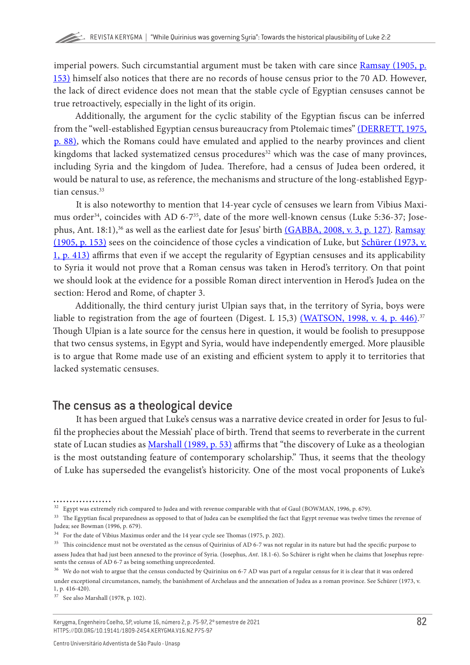imperial powers. Such circumstantial argument must be taken with care since [Ramsay \(1905, p.](#page-21-0) [153\)](#page-21-0) himself also notices that there are no records of house census prior to the 70 AD. However, the lack of direct evidence does not mean that the stable cycle of Egyptian censuses cannot be true retroactively, especially in the light of its origin.

Additionally, the argument for the cyclic stability of the Egyptian fiscus can be inferred from the "well-established Egyptian census bureaucracy from Ptolemaic times" [\(DERRETT, 1975,](#page-19-0) [p. 88\),](#page-19-0) which the Romans could have emulated and applied to the nearby provinces and client kingdoms that lacked systematized census procedures<sup>32</sup> which was the case of many provinces, including Syria and the kingdom of Judea. Therefore, had a census of Judea been ordered, it would be natural to use, as reference, the mechanisms and structure of the long-established Egyptian census.<sup>33</sup>

It is also noteworthy to mention that 14-year cycle of censuses we learn from Vibius Maximus order<sup>34</sup>, coincides with AD 6-7<sup>35</sup>, date of the more well-known census (Luke 5:36-37; Jose-phus, Ant. 18:1),<sup>36</sup> as well as the earliest date for Jesus' birth [\(GABBA, 2008, v. 3, p. 127\).](#page-19-0) Ramsay [\(1905, p. 153\)](#page-21-0) sees on the coincidence of those cycles a vindication of Luke, but [Schürer \(1973, v.](#page-22-0) [1, p. 413\)](#page-22-0) affirms that even if we accept the regularity of Egyptian censuses and its applicability to Syria it would not prove that a Roman census was taken in Herod's territory. On that point we should look at the evidence for a possible Roman direct intervention in Herod's Judea on the section: Herod and Rome, of chapter 3.

Additionally, the third century jurist Ulpian says that, in the territory of Syria, boys were liable to registration from the age of fourteen (Digest. L 15,3) <u>(WATSON, 1998, v. 4, p. 446)</u>.<sup>37</sup> Though Ulpian is a late source for the census here in question, it would be foolish to presuppose that two census systems, in Egypt and Syria, would have independently emerged. More plausible is to argue that Rome made use of an existing and efficient system to apply it to territories that lacked systematic censuses.

# The census as a theological device

It has been argued that Luke's census was a narrative device created in order for Jesus to fulfil the prophecies about the Messiah' place of birth. Trend that seems to reverberate in the current state of Lucan studies as [Marshall \(1989, p. 53\)](#page-21-0) affirms that "the discovery of Luke as a theologian is the most outstanding feature of contemporary scholarship." Thus, it seems that the theology of Luke has superseded the evangelist's historicity. One of the most vocal proponents of Luke's

. . . . . . . . . . . . . . . .

 $^{32}\,$  Egypt was extremely rich compared to Judea and with revenue comparable with that of Gaul (BOWMAN, 1996, p. 679).

<sup>&</sup>lt;sup>33</sup> The Egyptian fiscal preparedness as opposed to that of Judea can be exemplified the fact that Egypt revenue was twelve times the revenue of Judea; see Bowman (1996, p. 679).

 $^{34}\;$  For the date of Vibius Maximus order and the 14 year cycle see Thomas (1975, p. 202).

<sup>&</sup>lt;sup>35</sup> This coincidence must not be overstated as the census of Quirinius of AD 6-7 was not regular in its nature but had the specific purpose to assess Judea that had just been annexed to the province of Syria. (Josephus, *Ant*. 18.1-6). So Schürer is right when he claims that Josephus represents the census of AD 6-7 as being something unprecedented.

<sup>36</sup> We do not wish to argue that the census conducted by Quirinius on 6-7 AD was part of a regular census for it is clear that it was ordered under exceptional circumstances, namely, the banishment of Archelaus and the annexation of Judea as a roman province. See Schürer (1973, v. 1, p. 416-420).

<sup>37</sup> See also Marshall (1978, p. 102).

Kerygma, Engenheiro Coelho, SP, volume 16, número 2, p. 75-97, 2º semestre de 2021 HTTPS://DOI.ORG/10.19141/1809-2454.KERYGMA.V16.N2.P75-97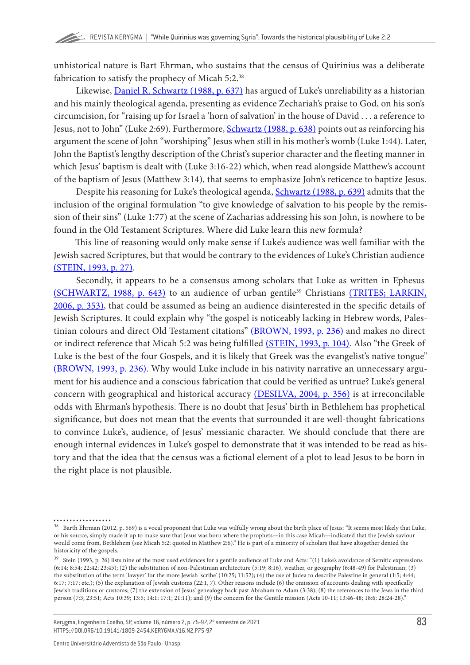unhistorical nature is Bart Ehrman, who sustains that the census of Quirinius was a deliberate fabrication to satisfy the prophecy of Micah 5:2.<sup>38</sup>

Likewise, [Daniel R. Schwartz \(1988, p. 637\)](#page-22-0) has argued of Luke's unreliability as a historian and his mainly theological agenda, presenting as evidence Zechariah's praise to God, on his son's circumcision, for "raising up for Israel a 'horn of salvation' in the house of David . . . a reference to Jesus, not to John" (Luke 2:69). Furthermore, [Schwartz \(1988, p. 638\)](#page-22-0) points out as reinforcing his argument the scene of John "worshiping" Jesus when still in his mother's womb (Luke 1:44). Later, John the Baptist's lengthy description of the Christ's superior character and the fleeting manner in which Jesus' baptism is dealt with (Luke 3:16-22) which, when read alongside Matthew's account of the baptism of Jesus (Matthew 3:14), that seems to emphasize John's reticence to baptize Jesus.

Despite his reasoning for Luke's theological agenda, [Schwartz \(1988, p. 639\)](#page-22-0) admits that the inclusion of the original formulation "to give knowledge of salvation to his people by the remission of their sins" (Luke 1:77) at the scene of Zacharias addressing his son John, is nowhere to be found in the Old Testament Scriptures. Where did Luke learn this new formula?

This line of reasoning would only make sense if Luke's audience was well familiar with the Jewish sacred Scriptures, but that would be contrary to the evidences of Luke's Christian audience [\(STEIN, 1993, p. 27\)](#page-22-0).

Secondly, it appears to be a consensus among scholars that Luke as written in Ephesus [\(SCHWARTZ, 1988, p. 643\)](#page-22-0) to an audience of urban gentile<sup>39</sup> Christians [\(TRITES; LARKIN,](#page-22-0) [2006, p. 353\)](#page-22-0), that could be assumed as being an audience disinterested in the specific details of Jewish Scriptures. It could explain why "the gospel is noticeably lacking in Hebrew words, Pales-tinian colours and direct Old Testament citations" [\(BROWN, 1993, p. 236\)](#page-18-0) and makes no direct or indirect reference that Micah 5:2 was being fulfilled [\(STEIN, 1993, p. 104\).](#page-22-0) Also "the Greek of Luke is the best of the four Gospels, and it is likely that Greek was the evangelist's native tongue" [\(BROWN, 1993, p. 236\).](#page-18-0) Why would Luke include in his nativity narrative an unnecessary argument for his audience and a conscious fabrication that could be verified as untrue? Luke's general concern with geographical and historical accuracy [\(DESILVA, 2004, p. 356\)](#page-19-0) is at irreconcilable odds with Ehrman's hypothesis. There is no doubt that Jesus' birth in Bethlehem has prophetical significance, but does not mean that the events that surrounded it are well-thought fabrications to convince Luke's, audience, of Jesus' messianic character. We should conclude that there are enough internal evidences in Luke's gospel to demonstrate that it was intended to be read as history and that the idea that the census was a fictional element of a plot to lead Jesus to be born in the right place is not plausible.

<sup>. . . . . . . . . . . . . . . .</sup> 

<sup>&</sup>lt;sup>38</sup> Barth Ehrman (2012, p. 569) is a vocal proponent that Luke was wilfully wrong about the birth place of Jesus: "It seems most likely that Luke, or his source, simply made it up to make sure that Jesus was born where the prophets—in this case Micah—indicated that the Jewish saviour would come from, Bethlehem (see Micah 5:2; quoted in Matthew 2:6)." He is part of a minority of scholars that have altogether denied the historicity of the gospels.

<sup>&</sup>lt;sup>39</sup> Stein (1993, p. 26) lists nine of the most used evidences for a gentile audience of Luke and Acts: "(1) Luke's avoidance of Semitic expressions  $(6:14; 8:54; 22:42; 23:45);$  (2) the substitution of non-Palestinian architecture  $(5:19; 8:16)$ , weather, or geography  $(6:48-49)$  for Palestinian; (3) the substitution of the term 'lawyer' for the more Jewish 'scribe' (10:25; 11:52); (4) the use of Judea to describe Palestine in general (1:5; 4:44; 6:17; 7:17; etc.); (5) the explanation of Jewish customs (22:1, 7). Other reasons include (6) the omission of accounts dealing with specifically Jewish traditions or customs; (7) the extension of Jesus' genealogy back past Abraham to Adam (3:38); (8) the references to the Jews in the third person (7:3; 23:51; Acts 10:39; 13:5; 14:1; 17:1; 21:11); and (9) the concern for the Gentile mission (Acts 10-11; 13:46-48; 18:6; 28:24-28)."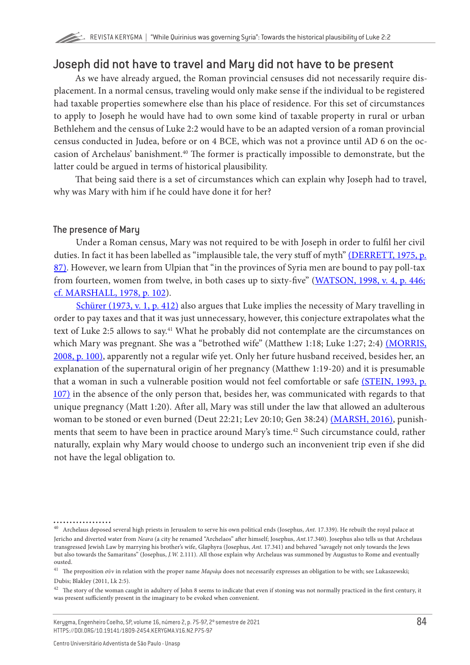# Joseph did not have to travel and Mary did not have to be present

As we have already argued, the Roman provincial censuses did not necessarily require displacement. In a normal census, traveling would only make sense if the individual to be registered had taxable properties somewhere else than his place of residence. For this set of circumstances to apply to Joseph he would have had to own some kind of taxable property in rural or urban Bethlehem and the census of Luke 2:2 would have to be an adapted version of a roman provincial census conducted in Judea, before or on 4 BCE, which was not a province until AD 6 on the occasion of Archelaus' banishment.40 The former is practically impossible to demonstrate, but the latter could be argued in terms of historical plausibility.

That being said there is a set of circumstances which can explain why Joseph had to travel, why was Mary with him if he could have done it for her?

#### The presence of Mary

Under a Roman census, Mary was not required to be with Joseph in order to fulfil her civil duties. In fact it has been labelled as "implausible tale, the very stuff of myth" [\(DERRETT, 1975, p.](#page-19-0) [87\)](#page-19-0). However, we learn from Ulpian that "in the provinces of Syria men are bound to pay poll-tax from fourteen, women from twelve, in both cases up to sixty-five" [\(WATSON, 1998, v. 4, p. 446;](#page-22-0) [cf. MARSHALL, 1978, p. 102](#page-21-0)).

[Schürer \(1973, v. 1, p. 412\)](#page-22-0) also argues that Luke implies the necessity of Mary travelling in order to pay taxes and that it was just unnecessary, however, this conjecture extrapolates what the text of Luke 2:5 allows to say.<sup>41</sup> What he probably did not contemplate are the circumstances on which Mary was pregnant. She was a "betrothed wife" (Matthew 1:18; Luke 1:27; 2:4) [\(MORRIS,](#page-21-0) [2008, p. 100\)](#page-21-0), apparently not a regular wife yet. Only her future husband received, besides her, an explanation of the supernatural origin of her pregnancy (Matthew 1:19-20) and it is presumable that a woman in such a vulnerable position would not feel comfortable or safe [\(STEIN, 1993, p.](#page-22-0) [107\)](#page-22-0) in the absence of the only person that, besides her, was communicated with regards to that unique pregnancy (Matt 1:20). After all, Mary was still under the law that allowed an adulterous woman to be stoned or even burned (Deut 22:21; Lev 20:10; Gen 38:24) [\(MARSH, 2016\),](#page-20-0) punishments that seem to have been in practice around Mary's time.<sup>42</sup> Such circumstance could, rather naturally, explain why Mary would choose to undergo such an inconvenient trip even if she did not have the legal obligation to.

<sup>40</sup> Archelaus deposed several high priests in Jerusalem to serve his own political ends (Josephus, *Ant.* 17.339). He rebuilt the royal palace at Jericho and diverted water from *Neara* (a city he renamed "Archelaos" after himself; Josephus, *Ant.*17.340). Josephus also tells us that Archelaus transgressed Jewish Law by marrying his brother's wife, Glaphyra (Josephus, *Ant.* 17.341) and behaved "savagely not only towards the Jews but also towards the Samaritans" (Josephus, *J.W.* 2.111). All those explain why Archelaus was summoned by Augustus to Rome and eventually ousted.

<sup>41</sup> The preposition *σὺν* in relation with the proper name *Μαριὰμ* does not necessarily expresses an obligation to be with; see Lukaszewski; Dubis; Blakley (2011, Lk 2:5).

 $^{42}\,$  The story of the woman caught in adultery of John 8 seems to indicate that even if stoning was not normally practiced in the first century, it was present sufficiently present in the imaginary to be evoked when convenient.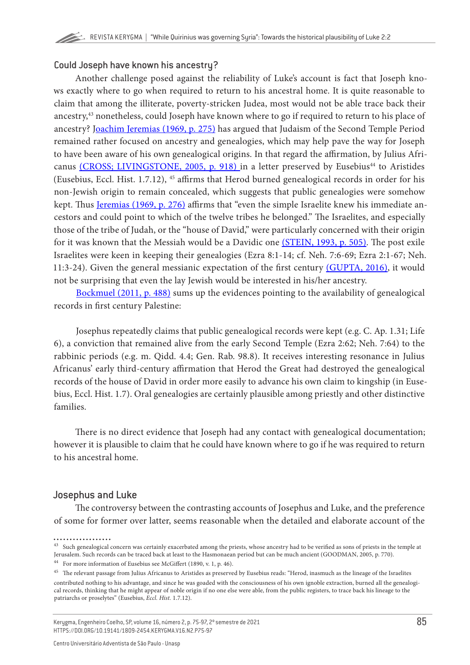#### Could Joseph have known his ancestry?

Another challenge posed against the reliability of Luke's account is fact that Joseph knows exactly where to go when required to return to his ancestral home. It is quite reasonable to claim that among the illiterate, poverty-stricken Judea, most would not be able trace back their ancestry,43 nonetheless, could Joseph have known where to go if required to return to his place of ancestry? [Joachim Jeremias \(1969, p. 275\)](#page-20-0) has argued that Judaism of the Second Temple Period remained rather focused on ancestry and genealogies, which may help pave the way for Joseph to have been aware of his own genealogical origins. In that regard the affirmation, by Julius Afri-canus [\(CROSS; LIVINGSTONE, 2005, p. 918\)](#page-18-0) in a letter preserved by Eusebius<sup>44</sup> to Aristides (Eusebius, Eccl. Hist. 1.7.12), 45 affirms that Herod burned genealogical records in order for his non-Jewish origin to remain concealed, which suggests that public genealogies were somehow kept. Thus [Jeremias \(1969, p. 276\)](#page-20-0) affirms that "even the simple Israelite knew his immediate ancestors and could point to which of the twelve tribes he belonged." The Israelites, and especially those of the tribe of Judah, or the "house of David," were particularly concerned with their origin for it was known that the Messiah would be a Davidic one [\(STEIN, 1993, p. 505\)](#page-22-0). The post exile Israelites were keen in keeping their genealogies (Ezra 8:1-14; cf. Neh. 7:6-69; Ezra 2:1-67; Neh. 11:3-24). Given the general messianic expectation of the first century [\(GUPTA, 2016\)](#page-19-0), it would not be surprising that even the lay Jewish would be interested in his/her ancestry.

[Bockmuel \(2011, p. 488\)](#page-17-0) sums up the evidences pointing to the availability of genealogical records in first century Palestine:

Josephus repeatedly claims that public genealogical records were kept (e.g. C. Ap. 1.31; Life 6), a conviction that remained alive from the early Second Temple (Ezra 2:62; Neh. 7:64) to the rabbinic periods (e.g. m. Qidd. 4.4; Gen. Rab. 98.8). It receives interesting resonance in Julius Africanus' early third-century affirmation that Herod the Great had destroyed the genealogical records of the house of David in order more easily to advance his own claim to kingship (in Eusebius, Eccl. Hist. 1.7). Oral genealogies are certainly plausible among priestly and other distinctive families.

There is no direct evidence that Joseph had any contact with genealogical documentation; however it is plausible to claim that he could have known where to go if he was required to return to his ancestral home.

#### Josephus and Luke

The controversy between the contrasting accounts of Josephus and Luke, and the preference of some for former over latter, seems reasonable when the detailed and elaborate account of the

 $^{43}$  Such genealogical concern was certainly exacerbated among the priests, whose ancestry had to be verified as sons of priests in the temple at Jerusalem. Such records can be traced back at least to the Hasmonaean period but can be much ancient (GOODMAN, 2005, p. 770).

<sup>44</sup> For more information of Eusebius see McGiffert (1890, v. 1, p. 46).

 $^{45}\,$  The relevant passage from Julius Africanus to Aristides as preserved by Eusebius reads: "Herod, inasmuch as the lineage of the Israelites contributed nothing to his advantage, and since he was goaded with the consciousness of his own ignoble extraction, burned all the genealogical records, thinking that he might appear of noble origin if no one else were able, from the public registers, to trace back his lineage to the patriarchs or proselytes" (Eusebius, *Eccl. Hist.* 1.7.12).

Kerygma, Engenheiro Coelho, SP, volume 16, número 2, p. 75-97, 2º semestre de 2021 HTTPS://DOI.ORG/10.19141/1809-2454.KERYGMA.V16.N2.P75-97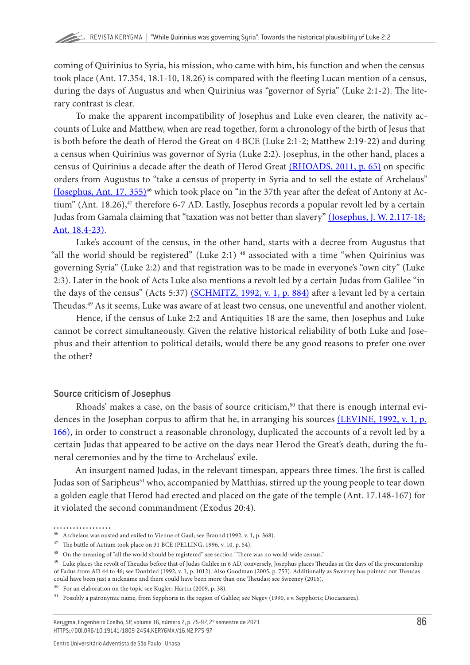coming of Quirinius to Syria, his mission, who came with him, his function and when the census took place (Ant. 17.354, 18.1-10, 18.26) is compared with the fleeting Lucan mention of a census, during the days of Augustus and when Quirinius was "governor of Syria" (Luke 2:1-2). The literary contrast is clear.

To make the apparent incompatibility of Josephus and Luke even clearer, the nativity accounts of Luke and Matthew, when are read together, form a chronology of the birth of Jesus that is both before the death of Herod the Great on 4 BCE (Luke 2:1-2; Matthew 2:19-22) and during a census when Quirinius was governor of Syria (Luke 2:2). Josephus, in the other hand, places a census of Quirinius a decade after the death of Herod Great [\(RHOADS, 2011, p. 65\)](#page-21-0) on specific orders from Augustus to "take a census of property in Syria and to sell the estate of Archelaus"  $(Josephus, Ant. 17. 355)<sup>46</sup>$  which took place on "in the 37th year after the defeat of Antony at Actium" (Ant. 18.26), $47$  therefore 6-7 AD. Lastly, Josephus records a popular revolt led by a certain Judas from Gamala claiming that "taxation was not better than slavery" (Josephus, J. W. 2.117-18; [Ant. 18.4-23\)](#page-20-0).

Luke's account of the census, in the other hand, starts with a decree from Augustus that "all the world should be registered" (Luke 2:1)<sup>48</sup> associated with a time "when Quirinius was governing Syria" (Luke 2:2) and that registration was to be made in everyone's "own city" (Luke 2:3). Later in the book of Acts Luke also mentions a revolt led by a certain Judas from Galilee "in the days of the census" (Acts 5:37) [\(SCHMITZ, 1992, v. 1, p. 884\)](#page-22-0) after a levant led by a certain Theudas.<sup>49</sup> As it seems, Luke was aware of at least two census, one uneventful and another violent.

Hence, if the census of Luke 2:2 and Antiquities 18 are the same, then Josephus and Luke cannot be correct simultaneously. Given the relative historical reliability of both Luke and Josephus and their attention to political details, would there be any good reasons to prefer one over the other?

#### Source criticism of Josephus

Rhoads' makes a case, on the basis of source criticism,<sup>50</sup> that there is enough internal evidences in the Josephan corpus to affirm that he, in arranging his sources [\(LEVINE, 1992, v. 1, p.](#page-20-0) [166\),](#page-20-0) in order to construct a reasonable chronology, duplicated the accounts of a revolt led by a certain Judas that appeared to be active on the days near Herod the Great's death, during the funeral ceremonies and by the time to Archelaus' exile.

An insurgent named Judas, in the relevant timespan, appears three times. The first is called Judas son of Saripheus<sup>51</sup> who, accompanied by Matthias, stirred up the young people to tear down a golden eagle that Herod had erected and placed on the gate of the temple (Ant. 17.148-167) for it violated the second commandment (Exodus 20:4).

 $^{46}\,$  Archelaus was ousted and exiled to Vienne of Gaul; see Braund (1992, v. 1, p. 368).

 $^{47}\,$  The battle of Actium took place on 31 BCE (PELLING, 1996, v. 10, p. 54).

<sup>48</sup> On the meaning of "all the world should be registered" see section "There was no world-wide census."

<sup>&</sup>lt;sup>49</sup> Luke places the revolt of Theudas before that of Judas Galilee in 6 AD, conversely, Josephus places Theudas in the days of the procuratorship of Fadus from AD 44 to 46; see Donfried (1992, v. 1, p. 1012). Also Goodman (2005, p. 753). Additionally as Sweeney has pointed out Theudas could have been just a nickname and there could have been more than one Theudas; see Sweeney (2016).

<sup>50</sup> For an elaboration on the topic see Kugler; Hartin (2009, p. 38).

<sup>51</sup> Possibly a patronymic name, from Sepphoris in the region of Galilee; see Negev (1990, s v. Sepphoris; Diocaesarea).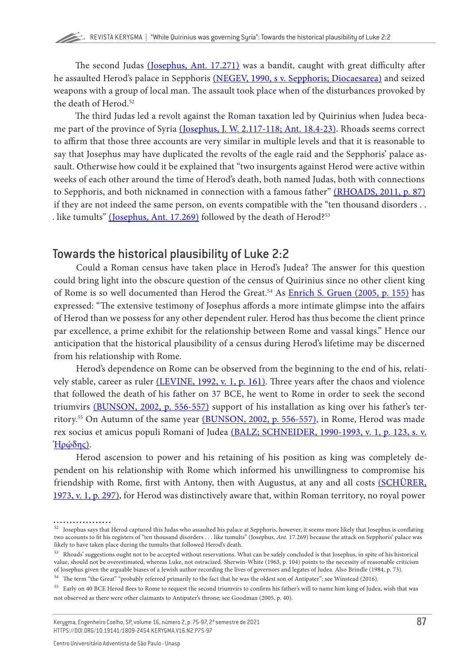The second Judas [\(Josephus, Ant. 17.271\)](#page-20-0) was a bandit, caught with great difficulty after he assaulted Herod's palace in Sepphoris [\(NEGEV, 1990, s v. Sepphoris; Diocaesarea\)](#page-21-0) and seized weapons with a group of local man. The assault took place when of the disturbances provoked by the death of Herod.52

The third Judas led a revolt against the Roman taxation led by Quirinius when Judea became part of the province of Syria [\(Josephus, J. W. 2.117-118; Ant. 18.4-23\).](#page-20-0) Rhoads seems correct to affirm that those three accounts are very similar in multiple levels and that it is reasonable to say that Josephus may have duplicated the revolts of the eagle raid and the Sepphoris' palace assault. Otherwise how could it be explained that "two insurgents against Herod were active within weeks of each other around the time of Herod's death, both named Judas, both with connections to Sepphoris, and both nicknamed in connection with a famous father" [\(RHOADS, 2011, p. 87\)](#page-21-0) if they are not indeed the same person, on events compatible with the "ten thousand disorders . . . like tumults" (Josephus, Ant.  $17.269$ ) followed by the death of Herod?<sup>53</sup>

# Towards the historical plausibility of Luke 2:2

Could a Roman census have taken place in Herod's Judea? The answer for this question could bring light into the obscure question of the census of Quirinius since no other client king of Rome is so well documented than Herod the Great.<sup>54</sup> As **[Enrich S. Gruen \(2005, p. 155\)](#page-19-0)** has expressed: "The extensive testimony of Josephus affords a more intimate glimpse into the affairs of Herod than we possess for any other dependent ruler. Herod has thus become the client prince par excellence, a prime exhibit for the relationship between Rome and vassal kings." Hence our anticipation that the historical plausibility of a census during Herod's lifetime may be discerned from his relationship with Rome.

Herod's dependence on Rome can be observed from the beginning to the end of his, relati-vely stable, career as ruler [\(LEVINE, 1992, v. 1, p. 161\)](#page-20-0). Three years after the chaos and violence that followed the death of his father on 37 BCE, he went to Rome in order to seek the second triumvirs [\(BUNSON, 2002, p. 556-557\)](#page-18-0) support of his installation as king over his father's territory.55 On Autumn of the same year [\(BUNSON, 2002, p. 556-557\),](#page-18-0) in Rome, Herod was made rex socius et amicus populi Romani of Judea [\(BALZ; SCHNEIDER, 1990-1993, v. 1, p. 123, s. v.](#page-17-0)  $Hρ$ ώδης).

Herod ascension to power and his retaining of his position as king was completely dependent on his relationship with Rome which informed his unwillingness to compromise his friendship with Rome, first with Antony, then with Augustus, at any and all costs [\(SCHÜRER,](#page-22-0) [1973, v. 1, p. 297\)](#page-22-0), for Herod was distinctively aware that, within Roman territory, no royal power

 $^{52}\,$  Josephus says that Herod captured this Judas who assaulted his palace at Sepphoris, however, it seems more likely that Josephus is conflating two accounts to fit his registers of "ten thousand disorders . . . like tumults" (Josephus, *Ant.* 17.269) because the attack on Sepphoris' palace was likely to have taken place during the tumults that followed Herod's death.

<sup>53</sup> Rhoads' suggestions ought not to be accepted without reservations. What can be safely concluded is that Josephus, in spite of his historical value, should not be overestimated, whereas Luke, not ostracized. Sherwin-White (1963, p. 104) points to the necessity of reasonable criticism of Josephus given the arguable biases of a Jewish author recording the lives of governors and legates of Judea. Also Brindle (1984, p. 73).

<sup>54</sup> The term "the Great" "probably referred primarily to the fact that he was the oldest son of Antipater"; see Winstead (2016).

<sup>&</sup>lt;sup>55</sup> Early on 40 BCE Herod flees to Rome to request the second triumvirs to confirm his father's will to name him king of Judea, wish that was not observed as there were other claimants to Antipater's throne; see Goodman (2005, p. 40).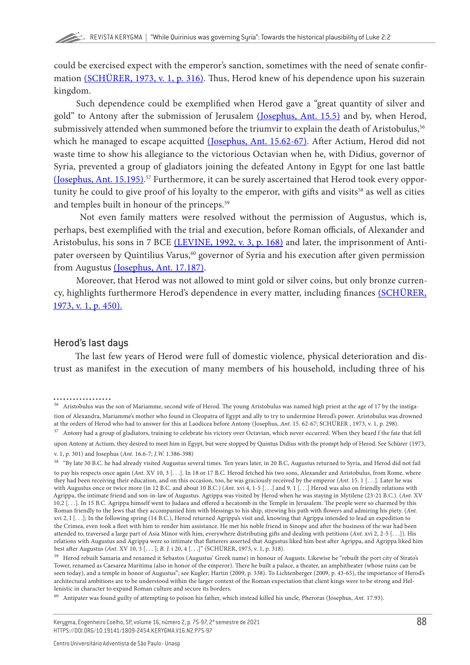could be exercised expect with the emperor's sanction, sometimes with the need of senate confir-mation [\(SCHÜRER, 1973, v. 1, p. 316\).](#page-22-0) Thus, Herod knew of his dependence upon his suzerain kingdom.

Such dependence could be exemplified when Herod gave a "great quantity of silver and gold" to Antony after the submission of Jerusalem [\(Josephus, Ant. 15.5\)](#page-20-0) and by, when Herod, submissively attended when summoned before the triumvir to explain the death of Aristobulus,<sup>56</sup> which he managed to escape acquitted [\(Josephus, Ant. 15.62-67\).](#page-20-0) After Actium, Herod did not waste time to show his allegiance to the victorious Octavian when he, with Didius, governor of Syria, prevented a group of gladiators joining the defeated Antony in Egypt for one last battle [\(Josephus, Ant. 15.195\).](#page-20-0) 57 Furthermore, it can be surely ascertained that Herod took every opportunity he could to give proof of his loyalty to the emperor, with gifts and visits<sup>58</sup> as well as cities and temples built in honour of the princeps.59

 Not even family matters were resolved without the permission of Augustus, which is, perhaps, best exemplified with the trial and execution, before Roman officials, of Alexander and Aristobulus, his sons in 7 BCE [\(LEVINE, 1992, v. 3, p. 168\)](#page-20-0) and later, the imprisonment of Antipater overseen by Quintilius Varus,<sup>60</sup> governor of Syria and his execution after given permission from Augustus [\(Josephus, Ant. 17.187\)](#page-20-0).

Moreover, that Herod was not allowed to mint gold or silver coins, but only bronze currency, highlights furthermore Herod's dependence in every matter, including finances [\(SCHÜRER,](#page-22-0) [1973, v. 1, p. 450\).](#page-22-0)

#### Herod's last days

The last few years of Herod were full of domestic violence, physical deterioration and distrust as manifest in the execution of many members of his household, including three of his

57 Antony had a group of gladiators, training to celebrate his victory over Octavian, which never occurred. When they heard f the fate that fell upon Antony at Actium, they desired to meet him in Egypt, but were stopped by Quintus Didius with the prompt help of Herod. See Schürer (1973,

<sup>56</sup> Aristobulus was the son of Mariamme, second wife of Herod. The young Aristobulus was named high priest at the age of 17 by the instigation of Alexandra, Mariamme's mother who found in Cleopatra of Egypt and ally to try to undermine Herod's power. Aristobulus was drowned at the orders of Herod who had to answer for this at Laodicea before Antony (Josephus, *Ant*. 15. 62-67; SCHÜRER , 1973, v. 1, p. 298).

v. 1, p. 301) and Josephus (*Ant.* 16.6-7; *J.W.* 1.386-398)

<sup>&</sup>lt;sup>58</sup> "By late 30 B.C. he had already visited Augustus several times. Ten years later, in 20 B.C, Augustus returned to Syria, and Herod did not fail to pay his respects once again (*Ant.* XV 10, 3 [. . .]. In 18 or 17 B.C. Herod fetched his two sons, Alexander and Aristobulus, from Rome, where they had been receiving their education, and on this occasion, too, he was graciously received by the emperor (*Ant.* 15. 1 [. . .]. Later he was with Augustus once or twice more (in 12 B.C. and about 10 B.C.) (*Ant.* xvi 4, 1-5 [. . .] and 9. 1 [. . .] Herod was also on friendly relations with Agrippa, the intimate friend and son-in-law of Augustus. Agrippa was visited by Herod when he was staying in Mytilene (23-21 B.C.). (*Ant.* XV 10,2 [. . .]. In 15 B.C. Agrippa himself went to Judaea and offered a hecatomb in the Temple in Jerusalem. The people were so charmed by this Roman friendly to the Jews that they accompanied him with blessings to his ship, strewing his path with flowers and admiring his piety. (*Ant.*  xvi 2, I [. . .]; In the following spring (14 B.C.), Herod returned Agrippa's visit and, knowing that Agrippa intended to lead an expedition to the Crimea, even took a fleet with him to render him assistance. He met his noble friend in Sinope and after the business of the war had been attended to, traversed a large part of Asia Minor with him, everywhere distributing gifts and dealing with petitions (*Ant.* xvi 2, 2-5 [. . .]). His relations with Augustus and Agrippa were so intimate that flatterers asserted that Augustus liked him best after Agrippa, and Agrippa liked him best after Augustus (*Ant.* XV 10, 3 [. . . ]; *B. J.* i 20, 4 [. . .]" (SCHÜRER, 1973, v. 1, p. 318).

<sup>59</sup> Herod rebuilt Samaria and renamed it Sebastos (Augustus' Greek name) in honour of Augusts. Likewise he "rebuilt the port city of Strato's Tower, renamed as Caesarea Maritima (also in honor of the emperor). There he built a palace, a theater, an amphitheater (whose ruins can be seen today), and a temple in honor of Augustus"; see Kugler; Hartin (2009, p. 338). To Lichtenberger (2009, p. 43-65), the importance of Herod's architectural ambitions are to be understood within the larger context of the Roman expectation that client kings were to be strong and Hellenistic in character to expand Roman culture and secure its borders.

<sup>60</sup> Antipater was found guilty of attempting to poison his father, which instead killed his uncle, Pheroras (Josephus, *Ant.* 17.93).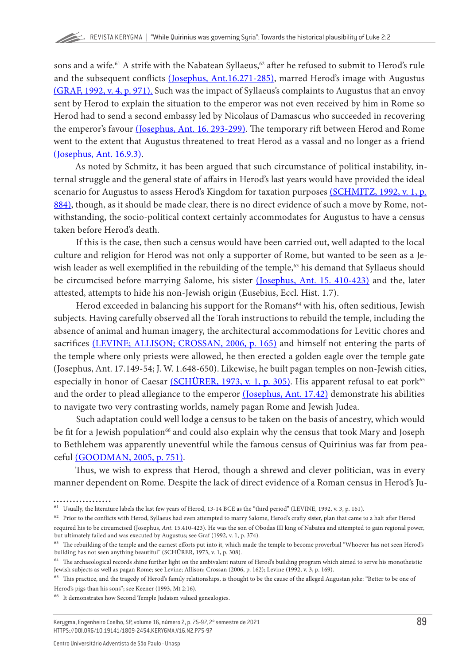sons and a wife.<sup>61</sup> A strife with the Nabatean Syllaeus,<sup>62</sup> after he refused to submit to Herod's rule and the subsequent conflicts [\(Josephus, Ant.16.271-285\)](#page-20-0), marred Herod's image with Augustus [\(GRAF, 1992, v. 4, p. 971\).](#page-19-0) Such was the impact of Syllaeus's complaints to Augustus that an envoy sent by Herod to explain the situation to the emperor was not even received by him in Rome so Herod had to send a second embassy led by Nicolaus of Damascus who succeeded in recovering the emperor's favour [\(Josephus, Ant. 16. 293-299\)](#page-20-0). The temporary rift between Herod and Rome went to the extent that Augustus threatened to treat Herod as a vassal and no longer as a friend [\(Josephus, Ant. 16.9.3\)](#page-20-0).

As noted by Schmitz, it has been argued that such circumstance of political instability, internal struggle and the general state of affairs in Herod's last years would have provided the ideal scenario for Augustus to assess Herod's Kingdom for taxation purposes [\(SCHMITZ, 1992, v. 1, p.](#page-22-0) [884\)](#page-22-0), though, as it should be made clear, there is no direct evidence of such a move by Rome, notwithstanding, the socio-political context certainly accommodates for Augustus to have a census taken before Herod's death.

If this is the case, then such a census would have been carried out, well adapted to the local culture and religion for Herod was not only a supporter of Rome, but wanted to be seen as a Jewish leader as well exemplified in the rebuilding of the temple,<sup>63</sup> his demand that Syllaeus should be circumcised before marrying Salome, his sister [\(Josephus, Ant. 15. 410-423\)](#page-20-0) and the, later attested, attempts to hide his non-Jewish origin (Eusebius, Eccl. Hist. 1.7).

Herod exceeded in balancing his support for the Romans<sup>64</sup> with his, often seditious, Jewish subjects. Having carefully observed all the Torah instructions to rebuild the temple, including the absence of animal and human imagery, the architectural accommodations for Levitic chores and sacrifices [\(LEVINE; ALLISON; CROSSAN, 2006, p. 165\)](#page-20-0) and himself not entering the parts of the temple where only priests were allowed, he then erected a golden eagle over the temple gate (Josephus, Ant. 17.149-54; J. W. 1.648-650). Likewise, he built pagan temples on non-Jewish cities, especially in honor of Caesar [\(SCHÜRER, 1973, v. 1, p. 305\).](#page-22-0) His apparent refusal to eat pork<sup>65</sup> and the order to plead allegiance to the emperor [\(Josephus, Ant. 17.42\)](#page-20-0) demonstrate his abilities to navigate two very contrasting worlds, namely pagan Rome and Jewish Judea.

Such adaptation could well lodge a census to be taken on the basis of ancestry, which would be fit for a Jewish population<sup>66</sup> and could also explain why the census that took Mary and Joseph to Bethlehem was apparently uneventful while the famous census of Quirinius was far from peaceful [\(GOODMAN, 2005, p. 751\).](#page-19-0)

Thus, we wish to express that Herod, though a shrewd and clever politician, was in every manner dependent on Rome. Despite the lack of direct evidence of a Roman census in Herod's Ju-

 $61$  Usually, the literature labels the last few years of Herod, 13-14 BCE as the "third period" (LEVINE, 1992, v. 3, p. 161).

 $62$  Prior to the conflicts with Herod, Syllaeus had even attempted to marry Salome, Herod's crafty sister, plan that came to a halt after Herod

required his to be circumcised (Josephus, *Ant*. 15.410-423). He was the son of Obodas III king of Nabatea and attempted to gain regional power, but ultimately failed and was executed by Augustus; see Graf (1992, v. 1, p. 374).

<sup>63</sup> The rebuilding of the temple and the earnest efforts put into it, which made the temple to become proverbial "Whoever has not seen Herod's building has not seen anything beautiful" (SCHÜRER, 1973, v. 1, p. 308).

 $^{64}\;$  The archaeological records shine further light on the ambivalent nature of Herod's building program which aimed to serve his monotheistic Jewish subjects as well as pagan Rome; see Levine; Allison; Crossan (2006, p. 162); Levine (1992, v. 3, p. 169).

<sup>&</sup>lt;sup>65</sup> This practice, and the tragedy of Herod's family relationships, is thought to be the cause of the alleged Augustan joke: "Better to be one of Herod's pigs than his sons"; see Keener (1993, Mt 2:16).

<sup>66</sup> It demonstrates how Second Temple Judaism valued genealogies.

Kerygma, Engenheiro Coelho, SP, volume 16, número 2, p. 75-97, 2º semestre de 2021 HTTPS://DOI.ORG/10.19141/1809-2454.KERYGMA.V16.N2.P75-97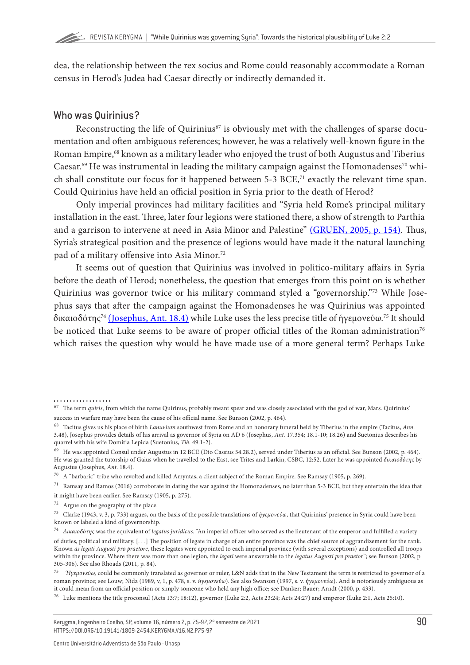dea, the relationship between the rex socius and Rome could reasonably accommodate a Roman census in Herod's Judea had Caesar directly or indirectly demanded it.

#### Who was Quirinius?

Reconstructing the life of Quirinius<sup>67</sup> is obviously met with the challenges of sparse documentation and often ambiguous references; however, he was a relatively well-known figure in the Roman Empire,<sup>68</sup> known as a military leader who enjoyed the trust of both Augustus and Tiberius Caesar.<sup>69</sup> He was instrumental in leading the military campaign against the Homonadenses<sup>70</sup> which shall constitute our focus for it happened between 5-3 BCE,<sup>71</sup> exactly the relevant time span. Could Quirinius have held an official position in Syria prior to the death of Herod?

Only imperial provinces had military facilities and "Syria held Rome's principal military installation in the east. Three, later four legions were stationed there, a show of strength to Parthia and a garrison to intervene at need in Asia Minor and Palestine" [\(GRUEN, 2005, p. 154\).](#page-19-0) Thus, Syria's strategical position and the presence of legions would have made it the natural launching pad of a military offensive into Asia Minor.<sup>72</sup>

It seems out of question that Quirinius was involved in politico-military affairs in Syria before the death of Herod; nonetheless, the question that emerges from this point on is whether Quirinius was governor twice or his military command styled a "governorship."73 While Josephus says that after the campaign against the Homonadenses he was Quirinius was appointed δικαιοδότης74 [\(Josephus, Ant. 18.4\)](#page-20-0) while Luke uses the less precise title of ἡγεμονεύω.75 It should be noticed that Luke seems to be aware of proper official titles of the Roman administration<sup>76</sup> which raises the question why would he have made use of a more general term? Perhaps Luke

<sup>67</sup> The term *quiris*, from which the name Quirinus, probably meant spear and was closely associated with the god of war, Mars. Quirinius' success in warfare may have been the cause of his official name. See Bunson (2002, p. 464).

<sup>68</sup> Tacitus gives us his place of birth *Lanuvium* southwest from Rome and an honorary funeral held by Tiberius in the empire (Tacitus, *Ann.* 3.48), Josephus provides details of his arrival as governor of Syria on AD 6 (Josephus, *Ant.* 17.354; 18.1-10; 18.26) and Suetonius describes his quarrel with his wife Domitia Lepida (Suetonius, *Tib*. 49.1-2).

<sup>69</sup> He was appointed Consul under Augustus in 12 BCE (Dio Cassius 54.28.2), served under Tiberius as an official. See Bunson (2002, p. 464). He was granted the tutorship of Gaius when he travelled to the East, see Trites and Larkin, CSBC, 12:52. Later he was appointed *δικαιοδότης* by Augustus (Josephus, *Ant*. 18.4).

 $^{70}$  A "barbaric" tribe who revolted and killed Amyntas, a client subject of the Roman Empire. See Ramsay (1905, p. 269).

 $71$  Ramsay and Ramos (2016) corroborate in dating the war against the Homonadenses, no later than 5-3 BCE, but they entertain the idea that it might have been earlier. See Ramsay (1905, p. 275).

<sup>72</sup> Argue on the geography of the place.

<sup>73</sup> Clarke (1943, v. 3, p. 733) argues, on the basis of the possible translations of *ἡγεμονεύω*, that Quirinius' presence in Syria could have been known or labeled a kind of governorship.

<sup>74</sup> *Δικαιοδότης* was the equivalent of *legatus juridicus*. "An imperial officer who served as the lieutenant of the emperor and fulfilled a variety of duties, political and military. [. . .] The position of legate in charge of an entire province was the chief source of aggrandizement for the rank. Known *as legati Augusti pro praetore*, these legates were appointed to each imperial province (with several exceptions) and controlled all troops within the province. Where there was more than one legion, the *legati* were answerable to the *legatus Augusti pro praetor*"; see Bunson (2002, p. 305-306). See also Rhoads (2011, p. 84).

<sup>75</sup> *Ήγεμονεύω,* could be commonly translated as governor or ruler, L&N adds that in the New Testament the term is restricted to governor of a roman province; see Louw; Nida (1989, v, 1, p. 478, s. v. *ἡγεμονεύω*). See also Swanson (1997, s. v. *ἡγεμονεύω*). And is notoriously ambiguous as it could mean from an official position or simply someone who held any high office; see Danker; Bauer; Arndt (2000, p. 433).

<sup>76</sup> Luke mentions the title proconsul (Acts 13:7; 18:12), governor (Luke 2:2, Acts 23:24; Acts 24:27) and emperor (Luke 2:1, Acts 25:10).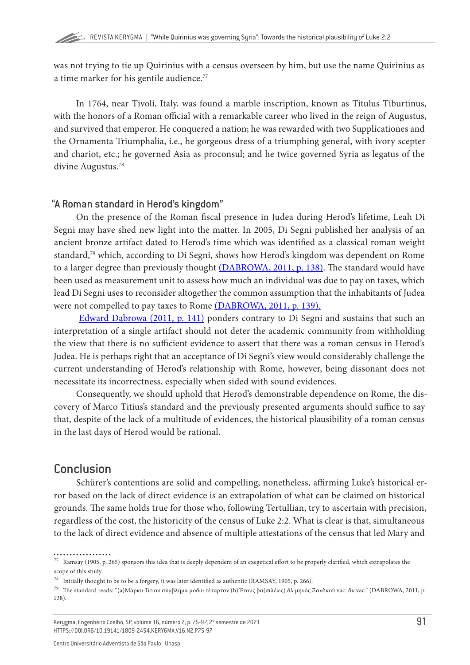was not trying to tie up Quirinius with a census overseen by him, but use the name Quirinius as a time marker for his gentile audience.<sup>77</sup>

In 1764, near Tivoli, Italy, was found a marble inscription, known as Titulus Tiburtinus, with the honors of a Roman official with a remarkable career who lived in the reign of Augustus, and survived that emperor. He conquered a nation; he was rewarded with two Supplicationes and the Ornamenta Triumphalia, i.e., he gorgeous dress of a triumphing general, with ivory scepter and chariot, etc.; he governed Asia as proconsul; and he twice governed Syria as legatus of the divine Augustus.78

#### "A Roman standard in Herod's kingdom"

On the presence of the Roman fiscal presence in Judea during Herod's lifetime, Leah Di Segni may have shed new light into the matter. In 2005, Di Segni published her analysis of an ancient bronze artifact dated to Herod's time which was identified as a classical roman weight standard,79 which, according to Di Segni, shows how Herod's kingdom was dependent on Rome to a larger degree than previously thought [\(DABROWA, 2011, p. 138\)](#page-18-0). The standard would have been used as measurement unit to assess how much an individual was due to pay on taxes, which lead Di Segni uses to reconsider altogether the common assumption that the inhabitants of Judea were not compelled to pay taxes to Rome [\(DABROWA, 2011, p. 139\).](#page-18-0)

[Edward Dąbrowa \(2011, p. 141\)](#page-18-0) ponders contrary to Di Segni and sustains that such an interpretation of a single artifact should not deter the academic community from withholding the view that there is no sufficient evidence to assert that there was a roman census in Herod's Judea. He is perhaps right that an acceptance of Di Segni's view would considerably challenge the current understanding of Herod's relationship with Rome, however, being dissonant does not necessitate its incorrectness, especially when sided with sound evidences.

Consequently, we should uphold that Herod's demonstrable dependence on Rome, the discovery of Marco Titius's standard and the previously presented arguments should suffice to say that, despite of the lack of a multitude of evidences, the historical plausibility of a roman census in the last days of Herod would be rational.

# Conclusion

Schürer's contentions are solid and compelling; nonetheless, affirming Luke's historical error based on the lack of direct evidence is an extrapolation of what can be claimed on historical grounds. The same holds true for those who, following Tertullian, try to ascertain with precision, regardless of the cost, the historicity of the census of Luke 2:2. What is clear is that, simultaneous to the lack of direct evidence and absence of multiple attestations of the census that led Mary and

 $^{77}\,$  Ramsay (1905, p. 265) sponsors this idea that is deeply dependent of an exegetical effort to be properly clarified, which extrapolates the scope of this study.

 $^{78}$  Initially thought to be to be a forgery, it was later identified as authentic (RAMSAY, 1905, p. 266).

<sup>79</sup> The standard reads: "(a)Μάρκυ Τιτίου σύμβλημα μοδίυ τέταρτον (b) Έτους βα(σιλέως) δλ μηνός Ξανδκού vac. δκ vac." (DABROWA, 2011, p. 138).

Kerygma, Engenheiro Coelho, SP, volume 16, número 2, p. 75-97, 2º semestre de 2021 HTTPS://DOI.ORG/10.19141/1809-2454.KERYGMA.V16.N2.P75-97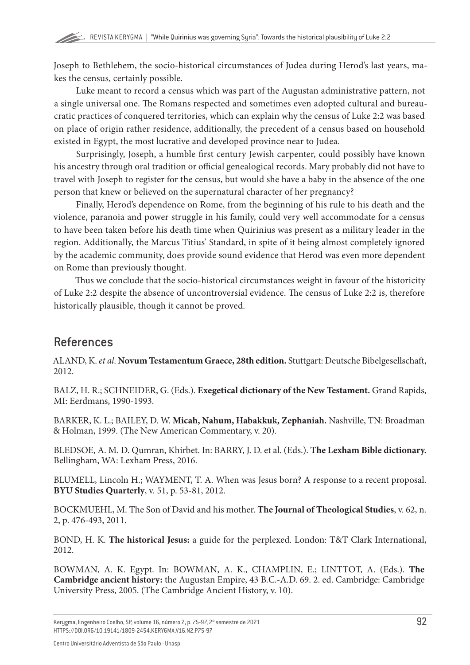<span id="page-17-0"></span>Joseph to Bethlehem, the socio-historical circumstances of Judea during Herod's last years, makes the census, certainly possible.

Luke meant to record a census which was part of the Augustan administrative pattern, not a single universal one. The Romans respected and sometimes even adopted cultural and bureaucratic practices of conquered territories, which can explain why the census of Luke 2:2 was based on place of origin rather residence, additionally, the precedent of a census based on household existed in Egypt, the most lucrative and developed province near to Judea.

Surprisingly, Joseph, a humble first century Jewish carpenter, could possibly have known his ancestry through oral tradition or official genealogical records. Mary probably did not have to travel with Joseph to register for the census, but would she have a baby in the absence of the one person that knew or believed on the supernatural character of her pregnancy?

Finally, Herod's dependence on Rome, from the beginning of his rule to his death and the violence, paranoia and power struggle in his family, could very well accommodate for a census to have been taken before his death time when Quirinius was present as a military leader in the region. Additionally, the Marcus Titius' Standard, in spite of it being almost completely ignored by the academic community, does provide sound evidence that Herod was even more dependent on Rome than previously thought.

Thus we conclude that the socio-historical circumstances weight in favour of the historicity of Luke 2:2 despite the absence of uncontroversial evidence. The census of Luke 2:2 is, therefore historically plausible, though it cannot be proved.

# References

ALAND, K. *et al*. **Novum Testamentum Graece, 28th edition.** Stuttgart: Deutsche Bibelgesellschaft, 2012.

BALZ, H. R.; SCHNEIDER, G. (Eds.). **Exegetical dictionary of the New Testament.** Grand Rapids, MI: Eerdmans, 1990-1993.

BARKER, K. L.; BAILEY, D. W. **Micah, Nahum, Habakkuk, Zephaniah.** Nashville, TN: Broadman & Holman, 1999. (The New American Commentary, v. 20).

BLEDSOE, A. M. D. Qumran, Khirbet. In: BARRY, J. D. et al. (Eds.). **The Lexham Bible dictionary.** Bellingham, WA: Lexham Press, 2016.

BLUMELL, Lincoln H.; WAYMENT, T. A. When was Jesus born? A response to a recent proposal. **BYU Studies Quarterly**, v. 51, p. 53-81, 2012.

BOCKMUEHL, M. The Son of David and his mother. **The Journal of Theological Studies**, v. 62, n. 2, p. 476-493, 2011.

BOND, H. K. **The historical Jesus:** a guide for the perplexed. London: T&T Clark International, 2012.

BOWMAN, A. K. Egypt. In: BOWMAN, A. K., CHAMPLIN, E.; LINTTOT, A. (Eds.). **The Cambridge ancient history:** the Augustan Empire, 43 B.C.-A.D. 69. 2. ed. Cambridge: Cambridge University Press, 2005. (The Cambridge Ancient History, v. 10).

Kerygma, Engenheiro Coelho, SP, volume 16, número 2, p. 75-97, 2º semestre de 2021 HTTPS://DOI.ORG/10.19141/1809-2454.KERYGMA.V16.N2.P75-97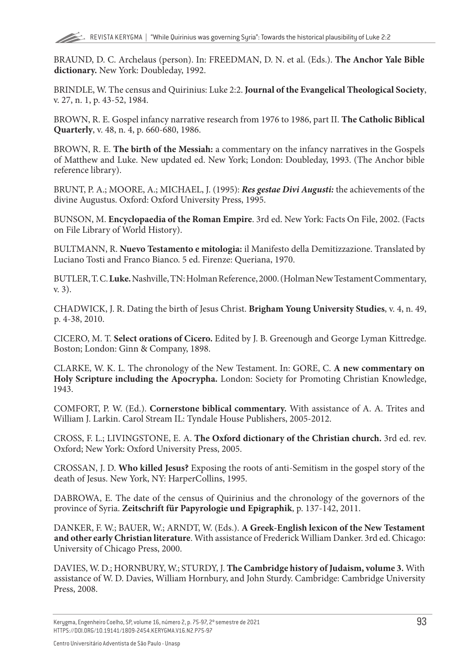<span id="page-18-0"></span>BRAUND, D. C. [Archelaus \(person\)](https://ref.ly/logosres/anch?ref=VolumePage.V+1%2c+p+368&off=1343&ctx=ch%E2%80%9D+(HJP%C2%B2+354+n.4).+~Josephus%2c+however%2c+c). In: FREEDMAN, D. N. et al. (Eds.). **The Anchor Yale Bible dictionary.** New York: Doubleday, 1992.

BRINDLE, W. The census and Quirinius: Luke 2:2. **Journal of the Evangelical Theological Society**, v. 27, n. 1, p. 43-52, 1984.

BROWN, R. E. Gospel infancy narrative research from 1976 to 1986, part II. **The Catholic Biblical Quarterly**, v. 48, n. 4, p. 660-680, 1986.

BROWN, R. E. **The birth of the Messiah:** a commentary on the infancy narratives in the Gospels of Matthew and Luke. New updated ed. New York; London: Doubleday, 1993. (The Anchor bible reference library).

BRUNT, P. A.; MOORE, A.; MICHAEL, J. (1995): *Res gestae Divi Augusti:* the achievements of the divine Augustus. Oxford: Oxford University Press, 1995.

BUNSON, M. **Encyclopaedia of the Roman Empire**. 3rd ed. New York: Facts On File, 2002. (Facts on File Library of World History).

BULTMANN, R. **Nuevo Testamento e mitologia:** il Manifesto della Demitizzazione. Translated by Luciano Tosti and Franco Bianco. 5 ed. Firenze: Queriana, 1970.

BUTLER, T. C.**Luke.** Nashville, TN: Holman Reference, 2000. (Holman New Testament Commentary, v. 3).

CHADWICK, J. R. Dating the birth of Jesus Christ. **Brigham Young University Studies**, v. 4, n. 49, p. 4-38, 2010.

CICERO, M. T. **Select orations of Cicero.** Edited by J. B. Greenough and George Lyman Kittredge. Boston; London: Ginn & Company, 1898.

CLARKE, W. K. L. [The chronology of the New Testament](https://ref.ly/logosres/nwcmmhlyscrptr?ref=VolumePage.V+3%2c+p+733&off=4291&ctx=ensus+at+this+time%3b+~or+his+military+comm). In: GORE, C. **A new commentary on Holy Scripture including the Apocrypha.** London: Society for Promoting Christian Knowledge, 1943.

COMFORT, P. W. (Ed.). **Cornerstone biblical commentary.** With assistance of A. A. Trites and William J. Larkin. Carol Stream IL: Tyndale House Publishers, 2005-2012.

CROSS, F. L.; LIVINGSTONE, E. A. **The Oxford dictionary of the Christian church.** 3rd ed. rev. Oxford; New York: Oxford University Press, 2005.

CROSSAN, J. D. **Who killed Jesus?** Exposing the roots of anti-Semitism in the gospel story of the death of Jesus. New York, NY: HarperCollins, 1995.

DABROWA, E. The date of the census of Quirinius and the chronology of the governors of the province of Syria. **Zeitschrift für Papyrologie und Epigraphik**, p. 137-142, 2011.

DANKER, F. W.; BAUER, W.; ARNDT, W. (Eds.). **A Greek-English lexicon of the New Testament and other early Christian literature**. With assistance of Frederick William Danker. 3rd ed. Chicago: University of Chicago Press, 2000.

DAVIES, W. D.; HORNBURY, W.; STURDY, J. **The Cambridge history of Judaism, volume 3.** With assistance of W. D. Davies, William Hornbury, and John Sturdy. Cambridge: Cambridge University Press, 2008.

Kerygma, Engenheiro Coelho, SP, volume 16, número 2, p. 75-97, 2º semestre de 2021 HTTPS://DOI.ORG/10.19141/1809-2454.KERYGMA.V16.N2.P75-97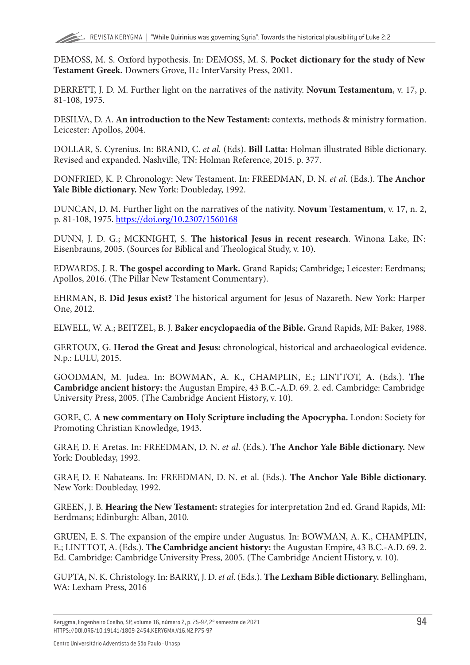<span id="page-19-0"></span>DEMOSS, M. S. Oxford hypothesis. In: DEMOSS, M. S. **Pocket dictionary for the study of New Testament Greek.** Downers Grove, IL: InterVarsity Press, 2001.

DERRETT, J. D. M. Further light on the narratives of the nativity. **Novum Testamentum**, v. 17, p. 81-108, 1975.

DESILVA, D. A. **An introduction to the New Testament:** contexts, methods & ministry formation. Leicester: Apollos, 2004.

DOLLAR, S. Cyrenius. In: BRAND, C. *et al.* (Eds). **Bill Latta:** Holman illustrated Bible dictionary. Revised and expanded. Nashville, TN: Holman Reference, 2015. p. 377.

DONFRIED, K. P. [Chronology: New Testament.](https://ref.ly/logosres/anch?ref=VolumePage.V+1%2c+p+1012&off=2277&ctx=city%E2%80%9D+(Luke+2:1%E2%80%933).+~According+to+Josephu) In: FREEDMAN, D. N*. et al*. (Eds.). **The Anchor Yale Bible dictionary.** New York: Doubleday, 1992.

DUNCAN, D. M. Further light on the narratives of the nativity. **Novum Testamentum**, v. 17, n. 2, p. 81-108, 1975. <https://doi.org/10.2307/1560168>

DUNN, J. D. G.; MCKNIGHT, S. **The historical Jesus in recent research**. Winona Lake, IN: Eisenbrauns, 2005. (Sources for Biblical and Theological Study, v. 10).

EDWARDS, J. R. **The gospel according to Mark.** Grand Rapids; Cambridge; Leicester: Eerdmans; Apollos, 2016. (The Pillar New Testament Commentary).

EHRMAN, B. **Did Jesus exist?** The historical argument for Jesus of Nazareth. New York: Harper One, 2012.

ELWELL, W. A.; BEITZEL, B. J. **Baker encyclopaedia of the Bible.** Grand Rapids, MI: Baker, 1988.

GERTOUX, G. **Herod the Great and Jesus:** chronological, historical and archaeological evidence. N.p.: LULU, 2015.

GOODMAN, M. Judea. In: BOWMAN, A. K., CHAMPLIN, E.; LINTTOT, A. (Eds.). **The Cambridge ancient history:** the Augustan Empire, 43 B.C.-A.D. 69. 2. ed. Cambridge: Cambridge University Press, 2005. (The Cambridge Ancient History, v. 10).

GORE, C. **A new commentary on Holy Scripture including the Apocrypha.** London: Society for Promoting Christian Knowledge, 1943.

GRAF, D. F. Aretas. In: FREEDMAN, D. N. *et al*. (Eds.). **The Anchor Yale Bible dictionary.** New York: Doubleday, 1992.

GRAF, D. F. [Nabateans](https://ref.ly/logosres/anch?ref=VolumePage.V+4%2c+p+971&off=3083&ctx=as%E2%80%99+death%2c+Syllaeus+~attempted+to+seize+c). In: FREEDMAN, D. N. et al. (Eds.). **The Anchor Yale Bible dictionary.** New York: Doubleday, 1992.

GREEN, J. B. **Hearing the New Testament:** strategies for interpretation 2nd ed. Grand Rapids, MI: Eerdmans; Edinburgh: Alban, 2010.

GRUEN, E. S. The expansion of the empire under Augustus. In: BOWMAN, A. K., CHAMPLIN, E.; LINTTOT, A. (Eds.). **The Cambridge ancient history:** the Augustan Empire, 43 B.C.-A.D. 69. 2. Ed. Cambridge: Cambridge University Press, 2005. (The Cambridge Ancient History, v. 10).

GUPTA, N. K. Christology. In: BARRY, J. D. *et al*. (Eds.). **The Lexham Bible dictionary.** Bellingham, WA: Lexham Press, 2016

Kerygma, Engenheiro Coelho, SP, volume 16, número 2, p. 75-97, 2º semestre de 2021 HTTPS://DOI.ORG/10.19141/1809-2454.KERYGMA.V16.N2.P75-97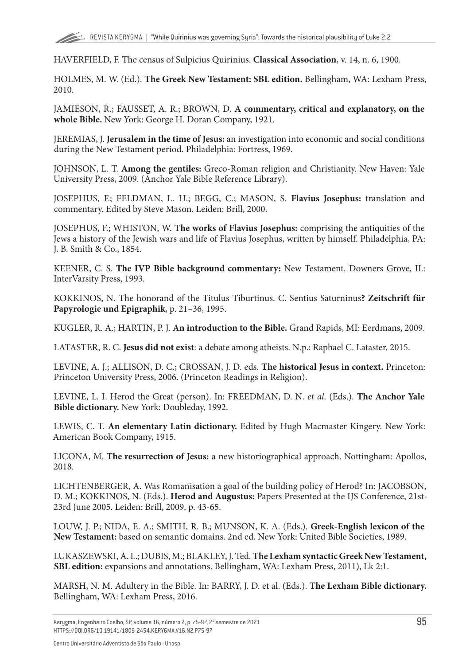<span id="page-20-0"></span>HAVERFIELD, F. The census of Sulpicius Quirinius. **Classical Association**, v. 14, n. 6, 1900.

HOLMES, M. W. (Ed.). **The Greek New Testament: SBL edition.** Bellingham, WA: Lexham Press, 2010.

JAMIESON, R.; FAUSSET, A. R.; BROWN, D. **A commentary, critical and explanatory, on the whole Bible.** New York: George H. Doran Company, 1921.

JEREMIAS, J. **Jerusalem in the time of Jesus:** an investigation into economic and social conditions during the New Testament period. Philadelphia: Fortress, 1969.

JOHNSON, L. T. **Among the gentiles:** Greco-Roman religion and Christianity. New Haven: Yale University Press, 2009. (Anchor Yale Bible Reference Library).

JOSEPHUS, F.; FELDMAN, L. H.; BEGG, C.; MASON, S. **Flavius Josephus:** translation and commentary. Edited by Steve Mason. Leiden: Brill, 2000.

JOSEPHUS, F.; WHISTON, W. **The works of Flavius Josephus:** comprising the antiquities of the Jews a history of the Jewish wars and life of Flavius Josephus, written by himself. Philadelphia, PA: J. B. Smith & Co., 1854.

KEENER, C. S. **The IVP Bible background commentary:** New Testament. Downers Grove, IL: InterVarsity Press, 1993.

KOKKINOS, N. The honorand of the Titulus Tiburtinus. C. Sentius Saturninus**? Zeitschrift für Papyrologie und Epigraphik**, p. 21–36, 1995.

KUGLER, R. A.; HARTIN, P. J. **An introduction to the Bible.** Grand Rapids, MI: Eerdmans, 2009.

LATASTER, R. C. **Jesus did not exist**: a debate among atheists. N.p.: Raphael C. Lataster, 2015.

LEVINE, A. J.; ALLISON, D. C.; CROSSAN, J. D. eds. **The historical Jesus in context.** Princeton: Princeton University Press, 2006. (Princeton Readings in Religion).

LEVINE, L. I. [Herod the Great \(person\).](https://ref.ly/logosres/anch?ref=VolumePage.V+3%2c+p+161&off=2712&ctx=ompey+in+63+b.c.e.%2c+~nothing+could+be+ach) In: FREEDMAN, D. N. *et al*. (Eds.). **The Anchor Yale Bible dictionary.** New York: Doubleday, 1992.

LEWIS, C. T. **An elementary Latin dictionary.** Edited by Hugh Macmaster Kingery. New York: American Book Company, 1915.

LICONA, M. **The resurrection of Jesus:** a new historiographical approach. Nottingham: Apollos, 2018.

LICHTENBERGER, A. Was Romanisation a goal of the building policy of Herod? In: JACOBSON, D. M.; KOKKINOS, N. (Eds.). **Herod and Augustus:** Papers Presented at the IJS Conference, 21st-23rd June 2005. Leiden: Brill, 2009. p. 43-65.

LOUW, J. P.; NIDA, E. A.; SMITH, R. B.; MUNSON, K. A. (Eds.). **Greek-English lexicon of the New Testament:** based on semantic domains. 2nd ed. New York: United Bible Societies, 1989.

LUKASZEWSKI, A. L.; DUBIS, M.; BLAKLEY, J. Ted. **The Lexham syntactic Greek New Testament, SBL edition:** expansions and annotations. Bellingham, WA: Lexham Press, 2011), Lk 2:1.

MARSH, N. M. [Adultery in the Bible](https://ref.ly/logosres/lbd?art=adultery.punishments_for_adultery_in_the_old_testament_and_the_ancient_near_east&off=72&ctx=e+Ancient+Near+East%0a~The+Old+Testament+gi). In: BARRY, J. D. et al. (Eds.). **The Lexham Bible dictionary.** Bellingham, WA: Lexham Press, 2016.

Kerygma, Engenheiro Coelho, SP, volume 16, número 2, p. 75-97, 2º semestre de 2021 HTTPS://DOI.ORG/10.19141/1809-2454.KERYGMA.V16.N2.P75-97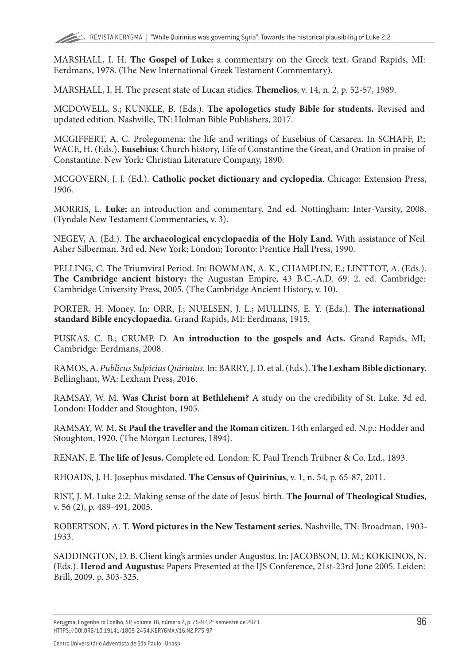<span id="page-21-0"></span>MARSHALL, I. H. **The Gospel of Luke:** a commentary on the Greek text. Grand Rapids, MI: Eerdmans, 1978. (The New International Greek Testament Commentary).

MARSHALL, I. H. The present state of Lucan stidies. **Themelios**, v. 14, n. 2, p. 52-57, 1989.

MCDOWELL, S.; KUNKLE, B. (Eds.). **The apologetics study Bible for students.** Revised and updated edition. Nashville, TN: Holman Bible Publishers, 2017.

MCGIFFERT, A. C. [Prolegomena: the life and writings of Eusebius of Cæsarea.](https://ref.ly/logosres/npnf15?ref=Eusebius.Hist.+eccl.&off=197403) In SCHAFF, P.; WACE, H. (Eds.). **Eusebius:** Church history, Life of Constantine the Great, and Oration in praise of Constantine. New York: Christian Literature Company, 1890.

MCGOVERN, J. J. (Ed.). **Catholic pocket dictionary and cyclopedia**. Chicago: Extension Press, 1906.

MORRIS, L. **Luke:** an introduction and commentary. 2nd ed. Nottingham: Inter-Varsity, 2008. (Tyndale New Testament Commentaries, v. 3).

NEGEV, A. (Ed.). **The archaeological encyclopaedia of the Holy Land.** With assistance of Neil Asher Silberman. 3rd ed. New York; London; Toronto: Prentice Hall Press, 1990.

PELLING, C. The Triumviral Period. In: BOWMAN, A. K., CHAMPLIN, E.; LINTTOT, A. (Eds.). **The Cambridge ancient history:** the Augustan Empire, 43 B.C.-A.D. 69. 2. ed. Cambridge: Cambridge University Press, 2005. (The Cambridge Ancient History, v. 10).

PORTER, H. [Money](https://ref.ly/logosres/intlbbldict1915?art=m.506.2&off=16347&ctx=Coin+of+the+Herods.%0a~Herod+Archelaus%2c+who). In: ORR, J.; NUELSEN, J. L.; MULLINS, E. Y. (Eds.). **The international standard Bible encyclopaedia.** Grand Rapids, MI: Eerdmans, 1915.

PUSKAS, C. B.; CRUMP, D. **An introduction to the gospels and Acts.** Grand Rapids, MI; Cambridge: Eerdmans, 2008.

RAMOS, A. *[Publicus Sulpicius Quirinius](https://ref.ly/logosres/lbd?art=quirinius.1.historicity_of_the_biblical_account&off=479&ctx=oretold+(Luke+1:5).+~This+Herod%2c+called+%E2%80%9C).* In: BARRY, J. D. et al. (Eds.). **The Lexham Bible dictionary.** Bellingham, WA: Lexham Press, 2016.

RAMSAY, W. M. **Was Christ born at Bethlehem?** A study on the credibility of St. Luke. 3d ed. London: Hodder and Stoughton, 1905.

RAMSAY, W. M. **St Paul the traveller and the Roman citizen.** 14th enlarged ed. N.p.: Hodder and Stoughton, 1920. (The Morgan Lectures, 1894).

RENAN, E. **The life of Jesus.** Complete ed. London: K. Paul Trench Trübner & Co. Ltd., 1893.

RHOADS, J. H. Josephus misdated. **The Census of Quirinius**, v. 1, n. 54, p. 65-87, 2011.

RIST, J. M. Luke 2:2: Making sense of the date of Jesus' birth. **The Journal of Theological Studies**, v. 56 (2), p. 489-491, 2005.

ROBERTSON, A. T. **Word pictures in the New Testament series.** Nashville, TN: Broadman, 1903- 1933.

SADDINGTON, D. B. Client king's armies under Augustus. In: JACOBSON, D. M.; KOKKINOS, N. (Eds.). **Herod and Augustus:** Papers Presented at the IJS Conference, 21st-23rd June 2005. Leiden: Brill, 2009. p. 303-325.

Kerygma, Engenheiro Coelho, SP, volume 16, número 2, p. 75-97, 2º semestre de 2021 HTTPS://DOI.ORG/10.19141/1809-2454.KERYGMA.V16.N2.P75-97